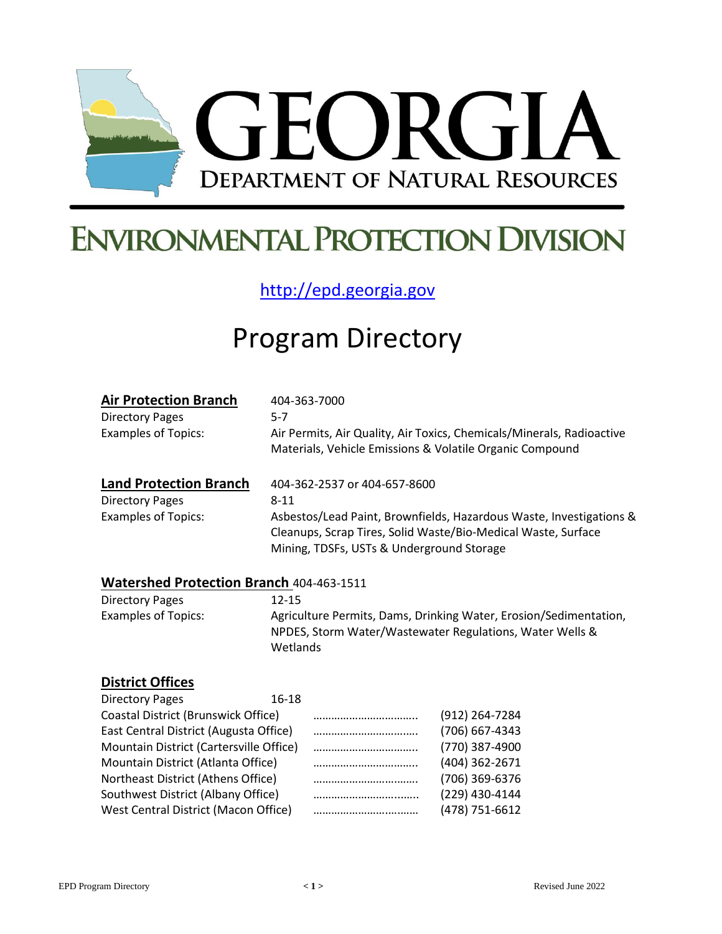

## **ENVIRONMENTAL PROTECTION DIVISION**

[http://epd.georgia.gov](http://epd.georgia.gov/)

## Program Directory

| <b>Air Protection Branch</b>                    | 404-363-7000                                                                                                                                                                      |  |  |
|-------------------------------------------------|-----------------------------------------------------------------------------------------------------------------------------------------------------------------------------------|--|--|
| <b>Directory Pages</b>                          | $5-7$                                                                                                                                                                             |  |  |
| <b>Examples of Topics:</b>                      | Air Permits, Air Quality, Air Toxics, Chemicals/Minerals, Radioactive<br>Materials, Vehicle Emissions & Volatile Organic Compound                                                 |  |  |
| <b>Land Protection Branch</b>                   | 404-362-2537 or 404-657-8600                                                                                                                                                      |  |  |
| <b>Directory Pages</b>                          | $8 - 11$                                                                                                                                                                          |  |  |
| <b>Examples of Topics:</b>                      | Asbestos/Lead Paint, Brownfields, Hazardous Waste, Investigations &<br>Cleanups, Scrap Tires, Solid Waste/Bio-Medical Waste, Surface<br>Mining, TDSFs, USTs & Underground Storage |  |  |
| <b>Watershed Protection Branch 404-463-1511</b> |                                                                                                                                                                                   |  |  |

#### **Watershed Protection Branch** 404-463-1511

Directory Pages 12-15 Examples of Topics: Agriculture Permits, Dams, Drinking Water, Erosion/Sedimentation, NPDES, Storm Water/Wastewater Regulations, Water Wells & Wetlands

#### **District Offices**

| <b>Directory Pages</b>                  | 16-18 |                    |
|-----------------------------------------|-------|--------------------|
| Coastal District (Brunswick Office)     |       | (912) 264-7284     |
| East Central District (Augusta Office)  |       | (706) 667-4343     |
| Mountain District (Cartersville Office) |       | <br>(770) 387-4900 |
| Mountain District (Atlanta Office)      |       | (404) 362-2671     |
| Northeast District (Athens Office)      |       | <br>(706) 369-6376 |
| Southwest District (Albany Office)      |       | (229) 430-4144     |
| West Central District (Macon Office)    |       | (478) 751-6612     |
|                                         |       |                    |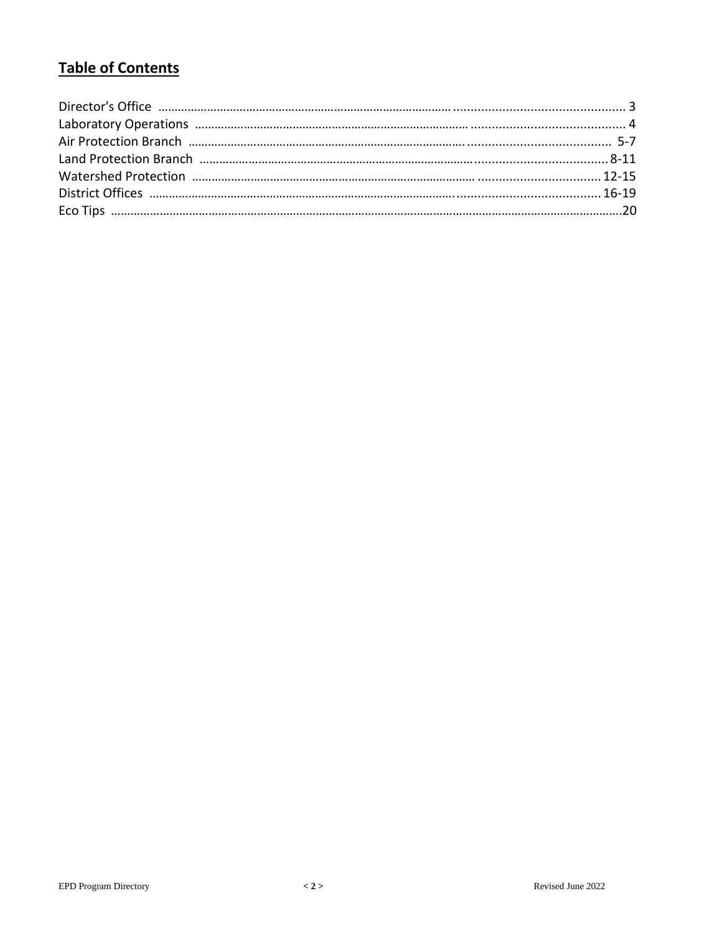#### **Table of Contents**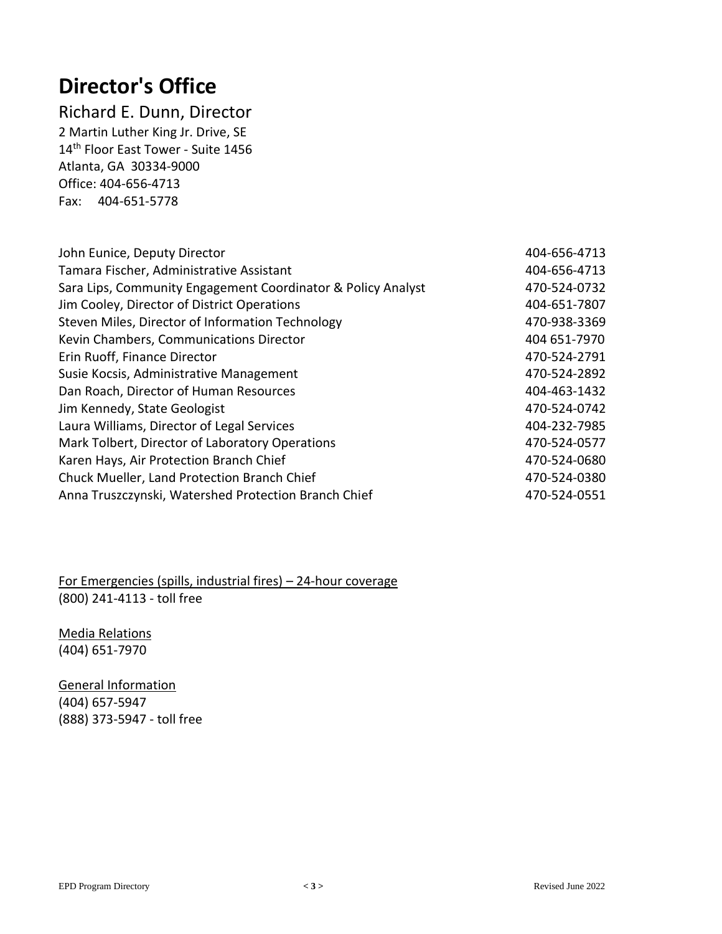## **Director's Office**

Richard E. Dunn, Director 2 Martin Luther King Jr. Drive, SE 14<sup>th</sup> Floor East Tower - Suite 1456 Atlanta, GA 30334-9000 Office: 404-656-4713 Fax: 404-651-5778

| John Eunice, Deputy Director                                 | 404-656-4713 |
|--------------------------------------------------------------|--------------|
| Tamara Fischer, Administrative Assistant                     | 404-656-4713 |
| Sara Lips, Community Engagement Coordinator & Policy Analyst | 470-524-0732 |
| Jim Cooley, Director of District Operations                  | 404-651-7807 |
| Steven Miles, Director of Information Technology             | 470-938-3369 |
| Kevin Chambers, Communications Director                      | 404 651-7970 |
| Erin Ruoff, Finance Director                                 | 470-524-2791 |
| Susie Kocsis, Administrative Management                      | 470-524-2892 |
| Dan Roach, Director of Human Resources                       | 404-463-1432 |
| Jim Kennedy, State Geologist                                 | 470-524-0742 |
| Laura Williams, Director of Legal Services                   | 404-232-7985 |
| Mark Tolbert, Director of Laboratory Operations              | 470-524-0577 |
| Karen Hays, Air Protection Branch Chief                      | 470-524-0680 |
| Chuck Mueller, Land Protection Branch Chief                  | 470-524-0380 |
| Anna Truszczynski, Watershed Protection Branch Chief         | 470-524-0551 |

For Emergencies (spills, industrial fires) – 24-hour coverage (800) 241-4113 - toll free

Media Relations (404) 651-7970

General Information (404) 657-5947 (888) 373-5947 - toll free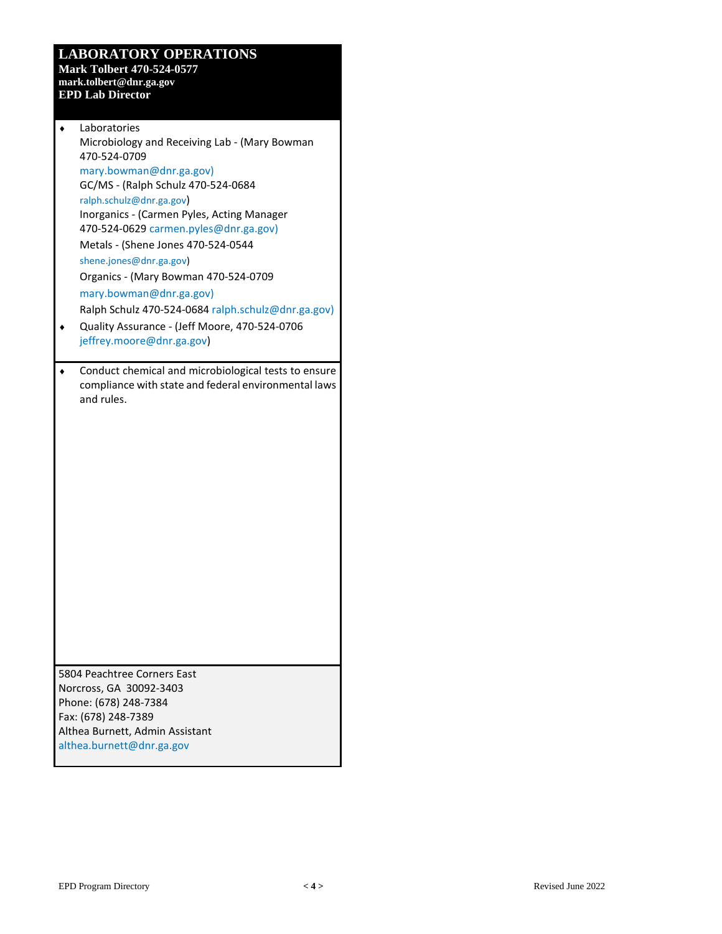#### **LABORATORY OPERATIONS**

**Mark Tolbert 470-524-0577 mark.tolbert@dnr.ga.gov EPD Lab Director**

| Laboratories                                                                        |
|-------------------------------------------------------------------------------------|
| Microbiology and Receiving Lab - (Mary Bowman                                       |
| 470-524-0709                                                                        |
| mary.bowman@dnr.ga.gov)                                                             |
| GC/MS - (Ralph Schulz 470-524-0684                                                  |
| ralph.schulz@dnr.ga.gov)                                                            |
| Inorganics - (Carmen Pyles, Acting Manager<br>470-524-0629 carmen.pyles@dnr.ga.gov) |
|                                                                                     |
| Metals - (Shene Jones 470-524-0544                                                  |
| shene.jones@dnr.ga.gov)                                                             |
| Organics - (Mary Bowman 470-524-0709                                                |
| mary.bowman@dnr.ga.gov)                                                             |
| Ralph Schulz 470-524-0684 ralph.schulz@dnr.ga.gov)                                  |
| Quality Assurance - (Jeff Moore, 470-524-0706                                       |
| jeffrey.moore@dnr.ga.gov)                                                           |
| Conduct chemical and microbiological tests to ensure                                |
| compliance with state and federal environmental laws                                |
| and rules.                                                                          |
|                                                                                     |
|                                                                                     |
|                                                                                     |
|                                                                                     |
|                                                                                     |
|                                                                                     |
|                                                                                     |
|                                                                                     |
|                                                                                     |
|                                                                                     |
|                                                                                     |
|                                                                                     |
|                                                                                     |
|                                                                                     |
|                                                                                     |
|                                                                                     |
|                                                                                     |
| 5804 Peachtree Corners East                                                         |
| Norcross, GA 30092-3403                                                             |
| Phone: (678) 248-7384                                                               |
| Fax: (678) 248-7389                                                                 |
| Althea Burnett, Admin Assistant                                                     |
| althea.burnett@dnr.ga.gov                                                           |
|                                                                                     |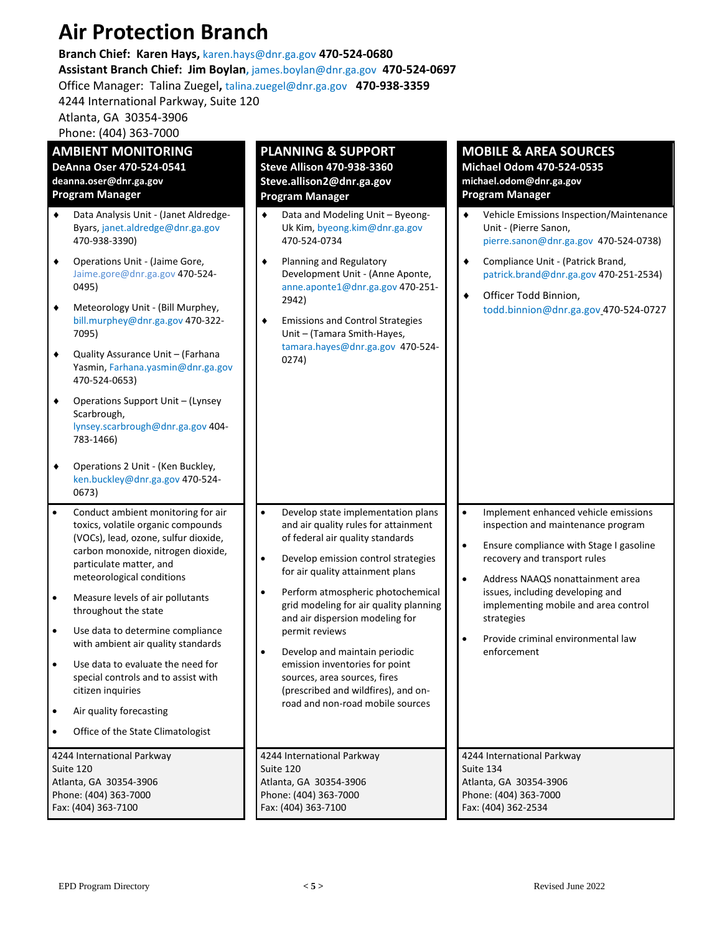## **Air Protection Branch**

#### **Branch Chief: Karen Hays,** karen.hays@dnr.ga.gov **470-524-0680**

**Assistant Branch Chief: Jim Boylan,** [james.boylan@dnr.ga.gov](mailto:james.boylan@dnr.ga.gov) **470-524-0697** Office Manager: Talina Zuegel**,** [talina.zuegel@dnr.ga.gov](mailto:talina.zuegel@dnr.ga.gov) **470-938-3359**

4244 International Parkway, Suite 120

Atlanta, GA 30354-3906

Phone: (404) 363-7000

| <b>AMBIENT MONITORING</b><br>DeAnna Oser 470-524-0541<br>deanna.oser@dnr.ga.gov<br>Program Manager                                                                                                                                                                                                                                                                                                                                                                                                                                                                             | <b>PLANNING &amp; SUPPORT</b><br><b>Steve Allison 470-938-3360</b><br>Steve.allison2@dnr.ga.gov<br><b>Program Manager</b>                                                                                                                                                                                                                                                                                                                                                                                                                                       | <b>MOBILE &amp; AREA SOURCES</b><br><b>Michael Odom 470-524-0535</b><br>michael.odom@dnr.ga.gov<br><b>Program Manager</b>                                                                                                                                                                                                                                                       |
|--------------------------------------------------------------------------------------------------------------------------------------------------------------------------------------------------------------------------------------------------------------------------------------------------------------------------------------------------------------------------------------------------------------------------------------------------------------------------------------------------------------------------------------------------------------------------------|-----------------------------------------------------------------------------------------------------------------------------------------------------------------------------------------------------------------------------------------------------------------------------------------------------------------------------------------------------------------------------------------------------------------------------------------------------------------------------------------------------------------------------------------------------------------|---------------------------------------------------------------------------------------------------------------------------------------------------------------------------------------------------------------------------------------------------------------------------------------------------------------------------------------------------------------------------------|
| Data Analysis Unit - (Janet Aldredge-<br>٠<br>Byars, janet.aldredge@dnr.ga.gov<br>470-938-3390)<br>Operations Unit - (Jaime Gore,<br>٠<br>Jaime.gore@dnr.ga.gov 470-524-<br>0495)<br>Meteorology Unit - (Bill Murphey,<br>٠<br>bill.murphey@dnr.ga.gov 470-322-<br>7095)<br>Quality Assurance Unit - (Farhana<br>٠<br>Yasmin, Farhana.yasmin@dnr.ga.gov<br>470-524-0653)<br>Operations Support Unit - (Lynsey<br>٠<br>Scarbrough,<br>lynsey.scarbrough@dnr.ga.gov 404-<br>783-1466)<br>Operations 2 Unit - (Ken Buckley,<br>٠<br>ken.buckley@dnr.ga.gov 470-524-<br>0673)      | ٠<br>Data and Modeling Unit - Byeong-<br>Uk Kim, byeong.kim@dnr.ga.gov<br>470-524-0734<br>Planning and Regulatory<br>٠<br>Development Unit - (Anne Aponte,<br>anne.aponte1@dnr.ga.gov 470-251-<br>2942)<br><b>Emissions and Control Strategies</b><br>٠<br>Unit - (Tamara Smith-Hayes,<br>tamara.hayes@dnr.ga.gov 470-524-<br>0274)                                                                                                                                                                                                                             | Vehicle Emissions Inspection/Maintenance<br>٠<br>Unit - (Pierre Sanon,<br>pierre.sanon@dnr.ga.gov 470-524-0738)<br>Compliance Unit - (Patrick Brand,<br>٠<br>patrick.brand@dnr.ga.gov 470-251-2534)<br>Officer Todd Binnion,<br>٠<br>todd.binnion@dnr.ga.gov_470-524-0727                                                                                                       |
| Conduct ambient monitoring for air<br>$\bullet$<br>toxics, volatile organic compounds<br>(VOCs), lead, ozone, sulfur dioxide,<br>carbon monoxide, nitrogen dioxide,<br>particulate matter, and<br>meteorological conditions<br>Measure levels of air pollutants<br>$\bullet$<br>throughout the state<br>Use data to determine compliance<br>$\bullet$<br>with ambient air quality standards<br>Use data to evaluate the need for<br>٠<br>special controls and to assist with<br>citizen inquiries<br>Air quality forecasting<br>$\bullet$<br>Office of the State Climatologist | $\bullet$<br>Develop state implementation plans<br>and air quality rules for attainment<br>of federal air quality standards<br>Develop emission control strategies<br>$\bullet$<br>for air quality attainment plans<br>Perform atmospheric photochemical<br>$\bullet$<br>grid modeling for air quality planning<br>and air dispersion modeling for<br>permit reviews<br>$\bullet$<br>Develop and maintain periodic<br>emission inventories for point<br>sources, area sources, fires<br>(prescribed and wildfires), and on-<br>road and non-road mobile sources | Implement enhanced vehicle emissions<br>$\bullet$<br>inspection and maintenance program<br>Ensure compliance with Stage I gasoline<br>$\bullet$<br>recovery and transport rules<br>Address NAAQS nonattainment area<br>$\bullet$<br>issues, including developing and<br>implementing mobile and area control<br>strategies<br>Provide criminal environmental law<br>enforcement |
| 4244 International Parkway<br>Suite 120<br>Atlanta, GA 30354-3906<br>Phone: (404) 363-7000<br>Fax: (404) 363-7100                                                                                                                                                                                                                                                                                                                                                                                                                                                              | 4244 International Parkway<br>4244 International Parkway<br>Suite 120<br>Suite 134<br>Atlanta, GA 30354-3906<br>Atlanta, GA 30354-3906<br>Phone: (404) 363-7000<br>Phone: (404) 363-7000<br>Fax: (404) 363-7100<br>Fax: (404) 362-2534                                                                                                                                                                                                                                                                                                                          |                                                                                                                                                                                                                                                                                                                                                                                 |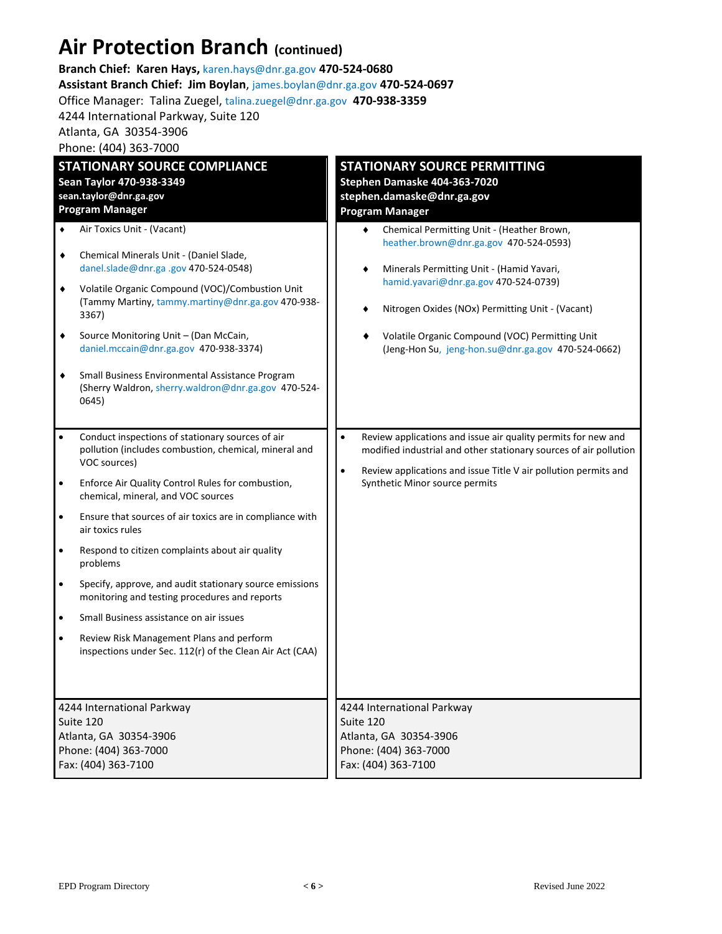## **Air Protection Branch (continued)**

| Branch Chief: Karen Hays, karen.hays@dnr.ga.gov 470-524-0680             |                                                                                                                                                                                                                                                                                                                                                                                                                                           |                                                                                                                                                                                                                                                                                                                                                                                                                                                                        |  |  |  |
|--------------------------------------------------------------------------|-------------------------------------------------------------------------------------------------------------------------------------------------------------------------------------------------------------------------------------------------------------------------------------------------------------------------------------------------------------------------------------------------------------------------------------------|------------------------------------------------------------------------------------------------------------------------------------------------------------------------------------------------------------------------------------------------------------------------------------------------------------------------------------------------------------------------------------------------------------------------------------------------------------------------|--|--|--|
| Assistant Branch Chief: Jim Boylan, james.boylan@dnr.ga.gov 470-524-0697 |                                                                                                                                                                                                                                                                                                                                                                                                                                           |                                                                                                                                                                                                                                                                                                                                                                                                                                                                        |  |  |  |
|                                                                          | Office Manager: Talina Zuegel, talina.zuegel@dnr.ga.gov 470-938-3359                                                                                                                                                                                                                                                                                                                                                                      |                                                                                                                                                                                                                                                                                                                                                                                                                                                                        |  |  |  |
|                                                                          | 4244 International Parkway, Suite 120                                                                                                                                                                                                                                                                                                                                                                                                     |                                                                                                                                                                                                                                                                                                                                                                                                                                                                        |  |  |  |
|                                                                          | Atlanta, GA 30354-3906                                                                                                                                                                                                                                                                                                                                                                                                                    |                                                                                                                                                                                                                                                                                                                                                                                                                                                                        |  |  |  |
|                                                                          | Phone: (404) 363-7000                                                                                                                                                                                                                                                                                                                                                                                                                     |                                                                                                                                                                                                                                                                                                                                                                                                                                                                        |  |  |  |
| ٠<br>٠<br>٠<br>٠                                                         | <b>STATIONARY SOURCE COMPLIANCE</b><br>Sean Taylor 470-938-3349<br>sean.taylor@dnr.ga.gov<br><b>Program Manager</b><br>Air Toxics Unit - (Vacant)<br>Chemical Minerals Unit - (Daniel Slade,<br>danel.slade@dnr.ga .gov 470-524-0548)<br>Volatile Organic Compound (VOC)/Combustion Unit<br>(Tammy Martiny, tammy.martiny@dnr.ga.gov 470-938-<br>3367)<br>Source Monitoring Unit - (Dan McCain,<br>daniel.mccain@dnr.ga.gov 470-938-3374) | <b>STATIONARY SOURCE PERMITTING</b><br>Stephen Damaske 404-363-7020<br>stephen.damaske@dnr.ga.gov<br><b>Program Manager</b><br>Chemical Permitting Unit - (Heather Brown,<br>heather.brown@dnr.ga.gov 470-524-0593)<br>Minerals Permitting Unit - (Hamid Yavari,<br>hamid.yavari@dnr.ga.gov 470-524-0739)<br>Nitrogen Oxides (NOx) Permitting Unit - (Vacant)<br>Volatile Organic Compound (VOC) Permitting Unit<br>(Jeng-Hon Su, jeng-hon.su@dnr.ga.gov 470-524-0662) |  |  |  |
| ٠                                                                        | Small Business Environmental Assistance Program<br>(Sherry Waldron, sherry.waldron@dnr.ga.gov 470-524-<br>0645)                                                                                                                                                                                                                                                                                                                           |                                                                                                                                                                                                                                                                                                                                                                                                                                                                        |  |  |  |
| $\bullet$                                                                | Conduct inspections of stationary sources of air<br>pollution (includes combustion, chemical, mineral and<br>VOC sources)                                                                                                                                                                                                                                                                                                                 | Review applications and issue air quality permits for new and<br>$\bullet$<br>modified industrial and other stationary sources of air pollution<br>Review applications and issue Title V air pollution permits and<br>$\bullet$                                                                                                                                                                                                                                        |  |  |  |
| $\bullet$                                                                | Enforce Air Quality Control Rules for combustion,<br>chemical, mineral, and VOC sources                                                                                                                                                                                                                                                                                                                                                   | Synthetic Minor source permits                                                                                                                                                                                                                                                                                                                                                                                                                                         |  |  |  |
| $\bullet$                                                                | Ensure that sources of air toxics are in compliance with<br>air toxics rules                                                                                                                                                                                                                                                                                                                                                              |                                                                                                                                                                                                                                                                                                                                                                                                                                                                        |  |  |  |
| $\bullet$                                                                | Respond to citizen complaints about air quality<br>problems                                                                                                                                                                                                                                                                                                                                                                               |                                                                                                                                                                                                                                                                                                                                                                                                                                                                        |  |  |  |
|                                                                          | Specify, approve, and audit stationary source emissions<br>monitoring and testing procedures and reports                                                                                                                                                                                                                                                                                                                                  |                                                                                                                                                                                                                                                                                                                                                                                                                                                                        |  |  |  |
| $\bullet$                                                                | Small Business assistance on air issues                                                                                                                                                                                                                                                                                                                                                                                                   |                                                                                                                                                                                                                                                                                                                                                                                                                                                                        |  |  |  |
| $\bullet$                                                                | Review Risk Management Plans and perform<br>inspections under Sec. 112(r) of the Clean Air Act (CAA)                                                                                                                                                                                                                                                                                                                                      |                                                                                                                                                                                                                                                                                                                                                                                                                                                                        |  |  |  |
|                                                                          |                                                                                                                                                                                                                                                                                                                                                                                                                                           | 4244 International Parkway                                                                                                                                                                                                                                                                                                                                                                                                                                             |  |  |  |
| 4244 International Parkway<br>Suite 120                                  |                                                                                                                                                                                                                                                                                                                                                                                                                                           | Suite 120                                                                                                                                                                                                                                                                                                                                                                                                                                                              |  |  |  |
| Atlanta, GA 30354-3906                                                   |                                                                                                                                                                                                                                                                                                                                                                                                                                           | Atlanta, GA 30354-3906                                                                                                                                                                                                                                                                                                                                                                                                                                                 |  |  |  |
| Phone: (404) 363-7000                                                    |                                                                                                                                                                                                                                                                                                                                                                                                                                           | Phone: (404) 363-7000                                                                                                                                                                                                                                                                                                                                                                                                                                                  |  |  |  |
| Fax: (404) 363-7100                                                      |                                                                                                                                                                                                                                                                                                                                                                                                                                           | Fax: (404) 363-7100                                                                                                                                                                                                                                                                                                                                                                                                                                                    |  |  |  |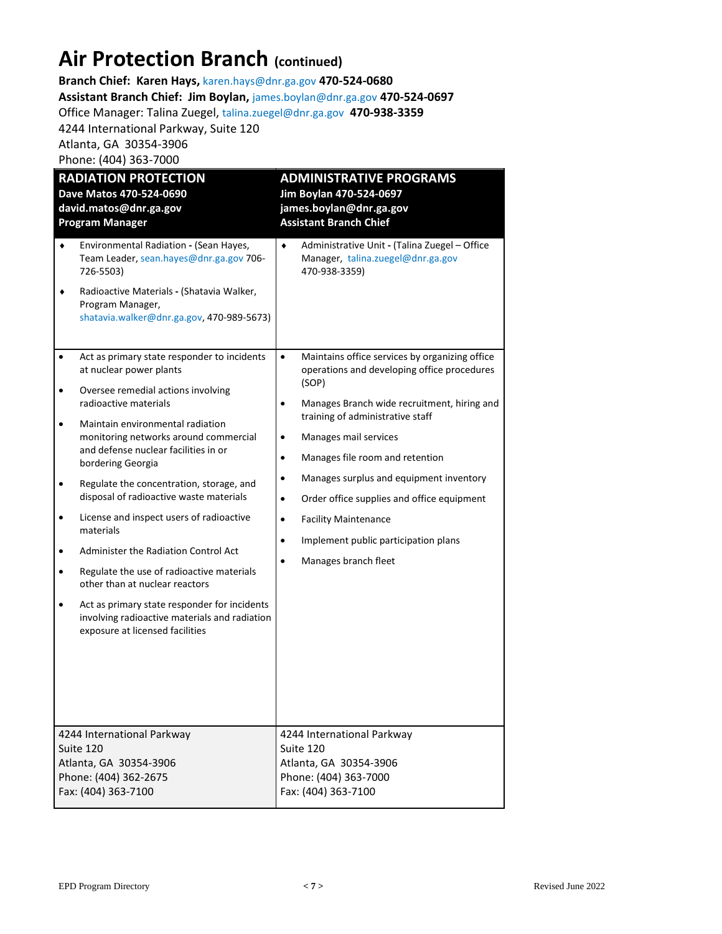## **Air Protection Branch (continued)**

**Branch Chief: Karen Hays,** karen.hays@dnr.ga.gov **470-524-0680 Assistant Branch Chief: Jim Boylan,** james.boylan@dnr.ga.gov **470-524-0697** Office Manager: Talina Zuegel, [talina.zuegel@dnr.ga.gov](mailto:talina.zuegel@dnr.ga.gov) **470-938-3359** 4244 International Parkway, Suite 120

Atlanta, GA 30354-3906 Phone: (404) 363-7000

| <b>RADIATION PROTECTION</b>                                                                                                                                                                                                                                                                                                                                                                                                                                                                                                                                                                                                                                                                     | <b>ADMINISTRATIVE PROGRAMS</b>                                                                                                                                                                                                                                                                                                                                                                                                                                                                                              |  |  |
|-------------------------------------------------------------------------------------------------------------------------------------------------------------------------------------------------------------------------------------------------------------------------------------------------------------------------------------------------------------------------------------------------------------------------------------------------------------------------------------------------------------------------------------------------------------------------------------------------------------------------------------------------------------------------------------------------|-----------------------------------------------------------------------------------------------------------------------------------------------------------------------------------------------------------------------------------------------------------------------------------------------------------------------------------------------------------------------------------------------------------------------------------------------------------------------------------------------------------------------------|--|--|
| Dave Matos 470-524-0690                                                                                                                                                                                                                                                                                                                                                                                                                                                                                                                                                                                                                                                                         | Jim Boylan 470-524-0697                                                                                                                                                                                                                                                                                                                                                                                                                                                                                                     |  |  |
| david.matos@dnr.ga.gov                                                                                                                                                                                                                                                                                                                                                                                                                                                                                                                                                                                                                                                                          | james.boylan@dnr.ga.gov                                                                                                                                                                                                                                                                                                                                                                                                                                                                                                     |  |  |
| <b>Program Manager</b>                                                                                                                                                                                                                                                                                                                                                                                                                                                                                                                                                                                                                                                                          | <b>Assistant Branch Chief</b>                                                                                                                                                                                                                                                                                                                                                                                                                                                                                               |  |  |
| Environmental Radiation - (Sean Hayes,<br>٠<br>Team Leader, sean.hayes@dnr.ga.gov 706-<br>726-5503)<br>Radioactive Materials - (Shatavia Walker,<br>٠<br>Program Manager,<br>shatavia.walker@dnr.ga.gov, 470-989-5673)                                                                                                                                                                                                                                                                                                                                                                                                                                                                          | Administrative Unit - (Talina Zuegel - Office<br>٠<br>Manager, talina.zuegel@dnr.ga.gov<br>470-938-3359)                                                                                                                                                                                                                                                                                                                                                                                                                    |  |  |
| Act as primary state responder to incidents<br>at nuclear power plants<br>Oversee remedial actions involving<br>radioactive materials<br>Maintain environmental radiation<br>monitoring networks around commercial<br>and defense nuclear facilities in or<br>bordering Georgia<br>Regulate the concentration, storage, and<br>disposal of radioactive waste materials<br>License and inspect users of radioactive<br>٠<br>materials<br>Administer the Radiation Control Act<br>Regulate the use of radioactive materials<br>other than at nuclear reactors<br>Act as primary state responder for incidents<br>involving radioactive materials and radiation<br>exposure at licensed facilities | $\bullet$<br>Maintains office services by organizing office<br>operations and developing office procedures<br>(SOP)<br>Manages Branch wide recruitment, hiring and<br>training of administrative staff<br>Manages mail services<br>Manages file room and retention<br>$\bullet$<br>Manages surplus and equipment inventory<br>$\bullet$<br>Order office supplies and office equipment<br><b>Facility Maintenance</b><br>$\bullet$<br>Implement public participation plans<br>$\bullet$<br>Manages branch fleet<br>$\bullet$ |  |  |
| 4244 International Parkway                                                                                                                                                                                                                                                                                                                                                                                                                                                                                                                                                                                                                                                                      | 4244 International Parkway                                                                                                                                                                                                                                                                                                                                                                                                                                                                                                  |  |  |
| Suite 120                                                                                                                                                                                                                                                                                                                                                                                                                                                                                                                                                                                                                                                                                       | Suite 120                                                                                                                                                                                                                                                                                                                                                                                                                                                                                                                   |  |  |
| Atlanta, GA 30354-3906                                                                                                                                                                                                                                                                                                                                                                                                                                                                                                                                                                                                                                                                          | Atlanta, GA 30354-3906                                                                                                                                                                                                                                                                                                                                                                                                                                                                                                      |  |  |
| Phone: (404) 362-2675                                                                                                                                                                                                                                                                                                                                                                                                                                                                                                                                                                                                                                                                           | Phone: (404) 363-7000                                                                                                                                                                                                                                                                                                                                                                                                                                                                                                       |  |  |
| Fax: (404) 363-7100                                                                                                                                                                                                                                                                                                                                                                                                                                                                                                                                                                                                                                                                             | Fax: (404) 363-7100                                                                                                                                                                                                                                                                                                                                                                                                                                                                                                         |  |  |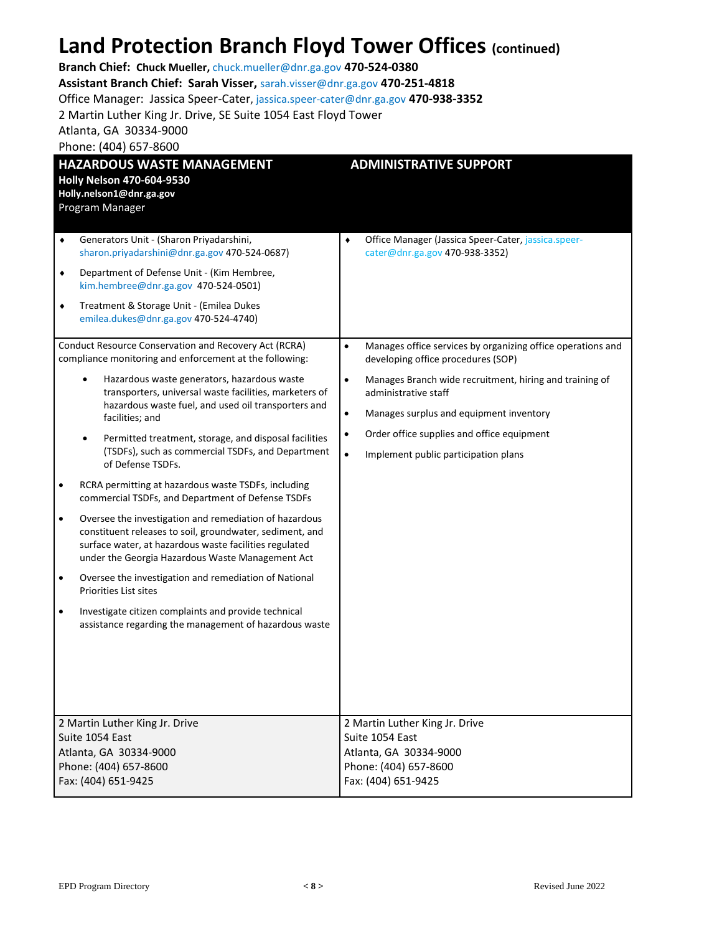## **Land Protection Branch Floyd Tower Offices (continued)**

| LATIM I TULULIUIT DI ATIUIT TIUYM TUWUT UTIILUJ (CONNINGO)<br>Branch Chief: Chuck Mueller, chuck.mueller@dnr.ga.gov 470-524-0380<br>Assistant Branch Chief: Sarah Visser, sarah.visser@dnr.ga.gov 470-251-4818<br>Office Manager: Jassica Speer-Cater, jassica.speer-cater@dnr.ga.gov 470-938-3352<br>2 Martin Luther King Jr. Drive, SE Suite 1054 East Floyd Tower<br>Atlanta, GA 30334-9000<br>Phone: (404) 657-8600                                                                                                                                                                                                                                                                                                                                                                                                                                                                                                                                                                                                                                                                                                                                                                                                                                                                                                                             |                                                                                                                                                                                                                                                                                                                                                                                                                                                                                      |  |
|-----------------------------------------------------------------------------------------------------------------------------------------------------------------------------------------------------------------------------------------------------------------------------------------------------------------------------------------------------------------------------------------------------------------------------------------------------------------------------------------------------------------------------------------------------------------------------------------------------------------------------------------------------------------------------------------------------------------------------------------------------------------------------------------------------------------------------------------------------------------------------------------------------------------------------------------------------------------------------------------------------------------------------------------------------------------------------------------------------------------------------------------------------------------------------------------------------------------------------------------------------------------------------------------------------------------------------------------------------|--------------------------------------------------------------------------------------------------------------------------------------------------------------------------------------------------------------------------------------------------------------------------------------------------------------------------------------------------------------------------------------------------------------------------------------------------------------------------------------|--|
| <b>HAZARDOUS WASTE MANAGEMENT</b><br><b>Holly Nelson 470-604-9530</b><br>Holly.nelson1@dnr.ga.gov<br>Program Manager                                                                                                                                                                                                                                                                                                                                                                                                                                                                                                                                                                                                                                                                                                                                                                                                                                                                                                                                                                                                                                                                                                                                                                                                                                | <b>ADMINISTRATIVE SUPPORT</b>                                                                                                                                                                                                                                                                                                                                                                                                                                                        |  |
| Generators Unit - (Sharon Priyadarshini,<br>٠<br>sharon.priyadarshini@dnr.ga.gov 470-524-0687)<br>Department of Defense Unit - (Kim Hembree,<br>$\blacklozenge$<br>kim.hembree@dnr.ga.gov 470-524-0501)<br>Treatment & Storage Unit - (Emilea Dukes<br>٠<br>emilea.dukes@dnr.ga.gov 470-524-4740)<br>Conduct Resource Conservation and Recovery Act (RCRA)<br>compliance monitoring and enforcement at the following:<br>Hazardous waste generators, hazardous waste<br>$\bullet$<br>transporters, universal waste facilities, marketers of<br>hazardous waste fuel, and used oil transporters and<br>facilities; and<br>Permitted treatment, storage, and disposal facilities<br>(TSDFs), such as commercial TSDFs, and Department<br>of Defense TSDFs.<br>RCRA permitting at hazardous waste TSDFs, including<br>$\bullet$<br>commercial TSDFs, and Department of Defense TSDFs<br>Oversee the investigation and remediation of hazardous<br>$\bullet$<br>constituent releases to soil, groundwater, sediment, and<br>surface water, at hazardous waste facilities regulated<br>under the Georgia Hazardous Waste Management Act<br>Oversee the investigation and remediation of National<br>Priorities List sites<br>Investigate citizen complaints and provide technical<br>$\bullet$<br>assistance regarding the management of hazardous waste | Office Manager (Jassica Speer-Cater, jassica.speer-<br>٠<br>cater@dnr.ga.gov 470-938-3352)<br>$\bullet$<br>Manages office services by organizing office operations and<br>developing office procedures (SOP)<br>$\bullet$<br>Manages Branch wide recruitment, hiring and training of<br>administrative staff<br>$\bullet$<br>Manages surplus and equipment inventory<br>Order office supplies and office equipment<br>$\bullet$<br>$\bullet$<br>Implement public participation plans |  |
| 2 Martin Luther King Jr. Drive<br>Suite 1054 East<br>Atlanta, GA 30334-9000<br>Phone: (404) 657-8600<br>Fax: (404) 651-9425                                                                                                                                                                                                                                                                                                                                                                                                                                                                                                                                                                                                                                                                                                                                                                                                                                                                                                                                                                                                                                                                                                                                                                                                                         | 2 Martin Luther King Jr. Drive<br>Suite 1054 East<br>Atlanta, GA 30334-9000<br>Phone: (404) 657-8600<br>Fax: (404) 651-9425                                                                                                                                                                                                                                                                                                                                                          |  |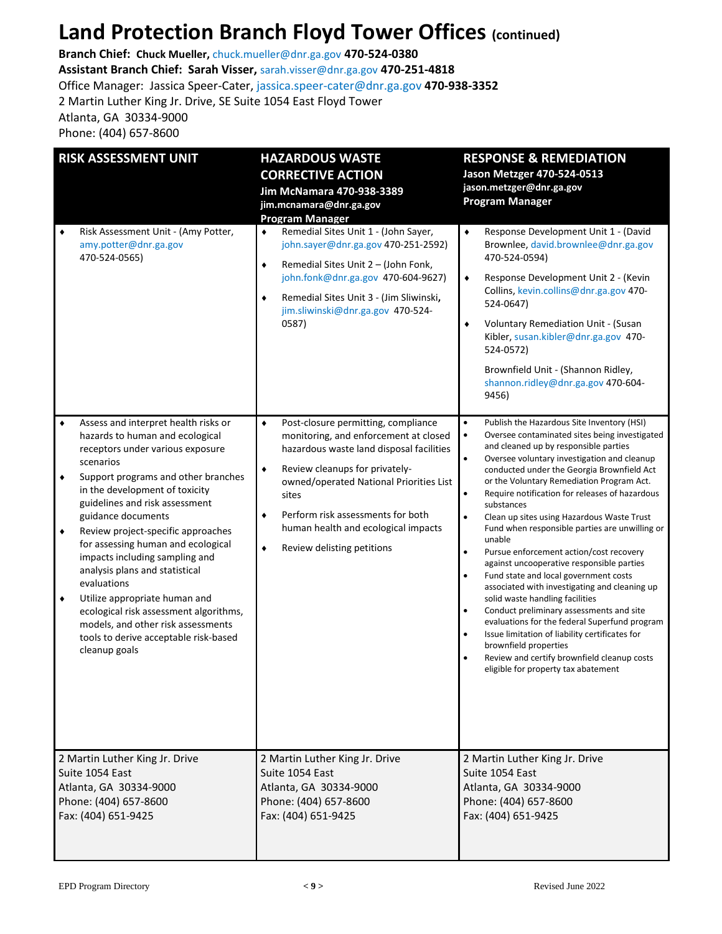## **Land Protection Branch Floyd Tower Offices (continued)**

**Branch Chief: Chuck Mueller,** chuck.mueller@dnr.ga.gov **470-524-0380 Assistant Branch Chief: Sarah Visser,** sarah.visser@dnr.ga.gov **470-251-4818** Office Manager: Jassica Speer-Cater[, jassica.speer-cater@dnr.ga.gov](mailto:jassica.speer-cater@dnr.ga.gov) **470-938-3352** 2 Martin Luther King Jr. Drive, SE Suite 1054 East Floyd Tower Atlanta, GA 30334-9000 Phone: (404) 657-8600

| <b>RISK ASSESSMENT UNIT</b><br>Risk Assessment Unit - (Amy Potter,<br>٠<br>amy.potter@dnr.ga.gov<br>470-524-0565)                                                                                                                                                                                                                                                                                                                                                                                                                                                                                                       | <b>HAZARDOUS WASTE</b><br><b>CORRECTIVE ACTION</b><br>Jim McNamara 470-938-3389<br>jim.mcnamara@dnr.ga.gov<br><b>Program Manager</b><br>Remedial Sites Unit 1 - (John Sayer,<br>٠<br>john.sayer@dnr.ga.gov 470-251-2592)<br>Remedial Sites Unit 2 - (John Fonk,<br>$\blacklozenge$<br>john.fonk@dnr.ga.gov 470-604-9627)<br>Remedial Sites Unit 3 - (Jim Sliwinski,<br>$\bullet$<br>jim.sliwinski@dnr.ga.gov 470-524-<br>0587) | <b>RESPONSE &amp; REMEDIATION</b><br>Jason Metzger 470-524-0513<br>jason.metzger@dnr.ga.gov<br><b>Program Manager</b><br>Response Development Unit 1 - (David<br>$\blacklozenge$<br>Brownlee, david.brownlee@dnr.ga.gov<br>470-524-0594)<br>Response Development Unit 2 - (Kevin<br>$\blacklozenge$<br>Collins, kevin.collins@dnr.ga.gov 470-<br>524-0647)<br>Voluntary Remediation Unit - (Susan<br>٠<br>Kibler, susan.kibler@dnr.ga.gov 470-<br>524-0572)<br>Brownfield Unit - (Shannon Ridley,<br>shannon.ridley@dnr.ga.gov 470-604-                                                                                                                                                                                                                                                                                                                                                                                                                                                                                                                                                |
|-------------------------------------------------------------------------------------------------------------------------------------------------------------------------------------------------------------------------------------------------------------------------------------------------------------------------------------------------------------------------------------------------------------------------------------------------------------------------------------------------------------------------------------------------------------------------------------------------------------------------|--------------------------------------------------------------------------------------------------------------------------------------------------------------------------------------------------------------------------------------------------------------------------------------------------------------------------------------------------------------------------------------------------------------------------------|----------------------------------------------------------------------------------------------------------------------------------------------------------------------------------------------------------------------------------------------------------------------------------------------------------------------------------------------------------------------------------------------------------------------------------------------------------------------------------------------------------------------------------------------------------------------------------------------------------------------------------------------------------------------------------------------------------------------------------------------------------------------------------------------------------------------------------------------------------------------------------------------------------------------------------------------------------------------------------------------------------------------------------------------------------------------------------------|
| Assess and interpret health risks or<br>٠<br>hazards to human and ecological<br>receptors under various exposure<br>scenarios<br>Support programs and other branches<br>٠<br>in the development of toxicity<br>guidelines and risk assessment<br>guidance documents<br>Review project-specific approaches<br>٠<br>for assessing human and ecological<br>impacts including sampling and<br>analysis plans and statistical<br>evaluations<br>Utilize appropriate human and<br>٠<br>ecological risk assessment algorithms,<br>models, and other risk assessments<br>tools to derive acceptable risk-based<br>cleanup goals | Post-closure permitting, compliance<br>$\bullet$<br>monitoring, and enforcement at closed<br>hazardous waste land disposal facilities<br>Review cleanups for privately-<br>$\blacklozenge$<br>owned/operated National Priorities List<br>sites<br>Perform risk assessments for both<br>٠<br>human health and ecological impacts<br>Review delisting petitions<br>$\bullet$                                                     | 9456)<br>Publish the Hazardous Site Inventory (HSI)<br>$\bullet$<br>Oversee contaminated sites being investigated<br>$\bullet$<br>and cleaned up by responsible parties<br>Oversee voluntary investigation and cleanup<br>$\bullet$<br>conducted under the Georgia Brownfield Act<br>or the Voluntary Remediation Program Act.<br>Require notification for releases of hazardous<br>$\bullet$<br>substances<br>Clean up sites using Hazardous Waste Trust<br>$\bullet$<br>Fund when responsible parties are unwilling or<br>unable<br>$\bullet$<br>Pursue enforcement action/cost recovery<br>against uncooperative responsible parties<br>$\bullet$<br>Fund state and local government costs<br>associated with investigating and cleaning up<br>solid waste handling facilities<br>$\bullet$<br>Conduct preliminary assessments and site<br>evaluations for the federal Superfund program<br>Issue limitation of liability certificates for<br>$\bullet$<br>brownfield properties<br>Review and certify brownfield cleanup costs<br>$\bullet$<br>eligible for property tax abatement |
| 2 Martin Luther King Jr. Drive<br>Suite 1054 East<br>Atlanta, GA 30334-9000<br>Phone: (404) 657-8600<br>Fax: (404) 651-9425                                                                                                                                                                                                                                                                                                                                                                                                                                                                                             | 2 Martin Luther King Jr. Drive<br>Suite 1054 East<br>Atlanta, GA 30334-9000<br>Phone: (404) 657-8600<br>Fax: (404) 651-9425                                                                                                                                                                                                                                                                                                    | 2 Martin Luther King Jr. Drive<br>Suite 1054 East<br>Atlanta, GA 30334-9000<br>Phone: (404) 657-8600<br>Fax: (404) 651-9425                                                                                                                                                                                                                                                                                                                                                                                                                                                                                                                                                                                                                                                                                                                                                                                                                                                                                                                                                            |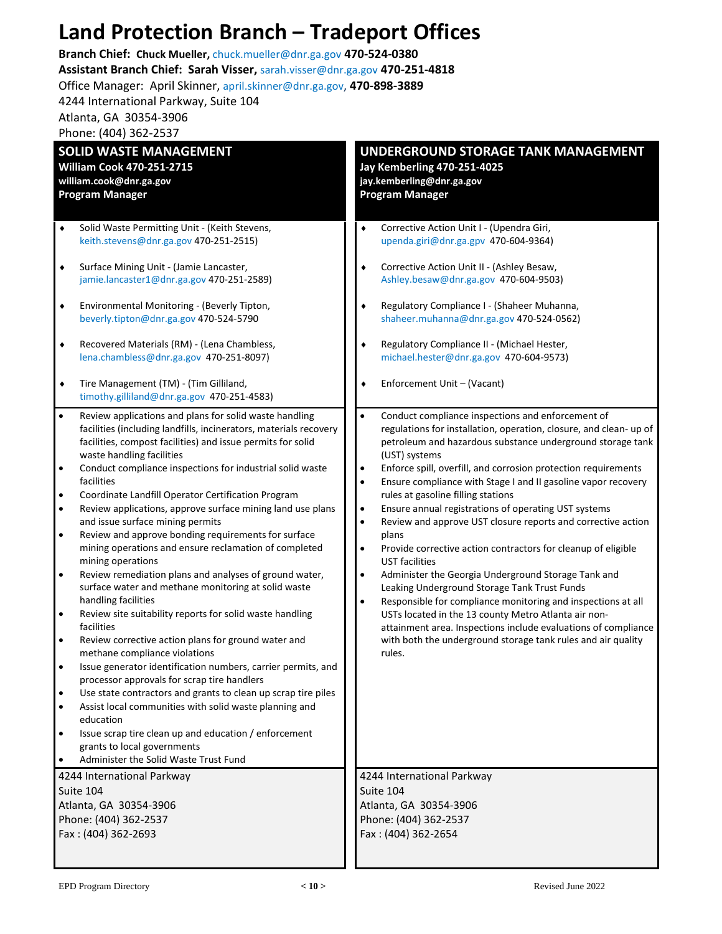## **Land Protection Branch – Tradeport Offices**

**Branch Chief: Chuck Mueller,** chuck.mueller@dnr.ga.gov **470-524-0380**

**Assistant Branch Chief: Sarah Visser,** sarah.visser@dnr.ga.gov **470-251-4818**

Office Manager: April Skinner, april.skinner@dnr.ga.gov, **470-898-3889**

4244 International Parkway, Suite 104

Atlanta, GA 30354-3906

Phone: (404) 362-2537

| <b>SOLID WASTE MANAGEMENT</b>                                                                                                                            |                                                                                                                                                                                                                                                                                                                                                                                                                                                                                                                                                                                                                                                                                                                                                                                                                                                                                                                                                                                                                                                                                                                                                                                                                                                                                                   | UNDERGROUND STORAGE TANK MANAGEMENT                                                                  |                                                                                                                                                                                                                                                                                                                                                                                                                                                                                                                                                                                                                                                                                                                                                                                                                                                                                                                                                                                       |  |
|----------------------------------------------------------------------------------------------------------------------------------------------------------|---------------------------------------------------------------------------------------------------------------------------------------------------------------------------------------------------------------------------------------------------------------------------------------------------------------------------------------------------------------------------------------------------------------------------------------------------------------------------------------------------------------------------------------------------------------------------------------------------------------------------------------------------------------------------------------------------------------------------------------------------------------------------------------------------------------------------------------------------------------------------------------------------------------------------------------------------------------------------------------------------------------------------------------------------------------------------------------------------------------------------------------------------------------------------------------------------------------------------------------------------------------------------------------------------|------------------------------------------------------------------------------------------------------|---------------------------------------------------------------------------------------------------------------------------------------------------------------------------------------------------------------------------------------------------------------------------------------------------------------------------------------------------------------------------------------------------------------------------------------------------------------------------------------------------------------------------------------------------------------------------------------------------------------------------------------------------------------------------------------------------------------------------------------------------------------------------------------------------------------------------------------------------------------------------------------------------------------------------------------------------------------------------------------|--|
| <b>William Cook 470-251-2715</b>                                                                                                                         |                                                                                                                                                                                                                                                                                                                                                                                                                                                                                                                                                                                                                                                                                                                                                                                                                                                                                                                                                                                                                                                                                                                                                                                                                                                                                                   | <b>Jay Kemberling 470-251-4025</b>                                                                   |                                                                                                                                                                                                                                                                                                                                                                                                                                                                                                                                                                                                                                                                                                                                                                                                                                                                                                                                                                                       |  |
| william.cook@dnr.ga.gov                                                                                                                                  |                                                                                                                                                                                                                                                                                                                                                                                                                                                                                                                                                                                                                                                                                                                                                                                                                                                                                                                                                                                                                                                                                                                                                                                                                                                                                                   | jay.kemberling@dnr.ga.gov                                                                            |                                                                                                                                                                                                                                                                                                                                                                                                                                                                                                                                                                                                                                                                                                                                                                                                                                                                                                                                                                                       |  |
|                                                                                                                                                          | <b>Program Manager</b>                                                                                                                                                                                                                                                                                                                                                                                                                                                                                                                                                                                                                                                                                                                                                                                                                                                                                                                                                                                                                                                                                                                                                                                                                                                                            |                                                                                                      | <b>Program Manager</b>                                                                                                                                                                                                                                                                                                                                                                                                                                                                                                                                                                                                                                                                                                                                                                                                                                                                                                                                                                |  |
| ٠<br>$\blacklozenge$<br>٠<br>$\blacklozenge$<br>٠                                                                                                        | Solid Waste Permitting Unit - (Keith Stevens,<br>keith.stevens@dnr.ga.gov 470-251-2515)<br>Surface Mining Unit - (Jamie Lancaster,<br>jamie.lancaster1@dnr.ga.gov 470-251-2589)<br>Environmental Monitoring - (Beverly Tipton,<br>beverly.tipton@dnr.ga.gov 470-524-5790<br>Recovered Materials (RM) - (Lena Chambless,<br>lena.chambless@dnr.ga.gov 470-251-8097)<br>Tire Management (TM) - (Tim Gilliland,<br>timothy.gilliland@dnr.ga.gov 470-251-4583)                                                                                                                                                                                                                                                                                                                                                                                                                                                                                                                                                                                                                                                                                                                                                                                                                                        | $\bullet$<br>$\bullet$<br>٠<br>٠                                                                     | Corrective Action Unit I - (Upendra Giri,<br>upenda.giri@dnr.ga.gpv 470-604-9364)<br>Corrective Action Unit II - (Ashley Besaw,<br>Ashley.besaw@dnr.ga.gov 470-604-9503)<br>Regulatory Compliance I - (Shaheer Muhanna,<br>shaheer.muhanna@dnr.ga.gov 470-524-0562)<br>Regulatory Compliance II - (Michael Hester,<br>michael.hester@dnr.ga.gov 470-604-9573)<br>Enforcement Unit - (Vacant)                                                                                                                                                                                                                                                                                                                                                                                                                                                                                                                                                                                          |  |
| $\bullet$<br>$\bullet$<br>$\bullet$<br>$\bullet$<br>$\bullet$<br>$\bullet$<br>$\bullet$<br>$\bullet$<br>$\bullet$<br>$\bullet$<br>$\bullet$<br>$\bullet$ | Review applications and plans for solid waste handling<br>facilities (including landfills, incinerators, materials recovery<br>facilities, compost facilities) and issue permits for solid<br>waste handling facilities<br>Conduct compliance inspections for industrial solid waste<br>facilities<br>Coordinate Landfill Operator Certification Program<br>Review applications, approve surface mining land use plans<br>and issue surface mining permits<br>Review and approve bonding requirements for surface<br>mining operations and ensure reclamation of completed<br>mining operations<br>Review remediation plans and analyses of ground water,<br>surface water and methane monitoring at solid waste<br>handling facilities<br>Review site suitability reports for solid waste handling<br>facilities<br>Review corrective action plans for ground water and<br>methane compliance violations<br>Issue generator identification numbers, carrier permits, and<br>processor approvals for scrap tire handlers<br>Use state contractors and grants to clean up scrap tire piles<br>Assist local communities with solid waste planning and<br>education<br>Issue scrap tire clean up and education / enforcement<br>grants to local governments<br>Administer the Solid Waste Trust Fund | $\bullet$<br>$\bullet$<br>$\bullet$<br>$\bullet$<br>$\bullet$<br>$\bullet$<br>$\bullet$<br>$\bullet$ | Conduct compliance inspections and enforcement of<br>regulations for installation, operation, closure, and clean- up of<br>petroleum and hazardous substance underground storage tank<br>(UST) systems<br>Enforce spill, overfill, and corrosion protection requirements<br>Ensure compliance with Stage I and II gasoline vapor recovery<br>rules at gasoline filling stations<br>Ensure annual registrations of operating UST systems<br>Review and approve UST closure reports and corrective action<br>plans<br>Provide corrective action contractors for cleanup of eligible<br><b>UST facilities</b><br>Administer the Georgia Underground Storage Tank and<br>Leaking Underground Storage Tank Trust Funds<br>Responsible for compliance monitoring and inspections at all<br>USTs located in the 13 county Metro Atlanta air non-<br>attainment area. Inspections include evaluations of compliance<br>with both the underground storage tank rules and air quality<br>rules. |  |
|                                                                                                                                                          | 4244 International Parkway                                                                                                                                                                                                                                                                                                                                                                                                                                                                                                                                                                                                                                                                                                                                                                                                                                                                                                                                                                                                                                                                                                                                                                                                                                                                        | 4244 International Parkway                                                                           |                                                                                                                                                                                                                                                                                                                                                                                                                                                                                                                                                                                                                                                                                                                                                                                                                                                                                                                                                                                       |  |
|                                                                                                                                                          | Suite 104                                                                                                                                                                                                                                                                                                                                                                                                                                                                                                                                                                                                                                                                                                                                                                                                                                                                                                                                                                                                                                                                                                                                                                                                                                                                                         | Suite 104                                                                                            |                                                                                                                                                                                                                                                                                                                                                                                                                                                                                                                                                                                                                                                                                                                                                                                                                                                                                                                                                                                       |  |
| Atlanta, GA 30354-3906                                                                                                                                   |                                                                                                                                                                                                                                                                                                                                                                                                                                                                                                                                                                                                                                                                                                                                                                                                                                                                                                                                                                                                                                                                                                                                                                                                                                                                                                   | Atlanta, GA 30354-3906                                                                               |                                                                                                                                                                                                                                                                                                                                                                                                                                                                                                                                                                                                                                                                                                                                                                                                                                                                                                                                                                                       |  |
| Phone: (404) 362-2537                                                                                                                                    |                                                                                                                                                                                                                                                                                                                                                                                                                                                                                                                                                                                                                                                                                                                                                                                                                                                                                                                                                                                                                                                                                                                                                                                                                                                                                                   | Phone: (404) 362-2537                                                                                |                                                                                                                                                                                                                                                                                                                                                                                                                                                                                                                                                                                                                                                                                                                                                                                                                                                                                                                                                                                       |  |
| Fax: (404) 362-2693                                                                                                                                      |                                                                                                                                                                                                                                                                                                                                                                                                                                                                                                                                                                                                                                                                                                                                                                                                                                                                                                                                                                                                                                                                                                                                                                                                                                                                                                   | Fax: (404) 362-2654                                                                                  |                                                                                                                                                                                                                                                                                                                                                                                                                                                                                                                                                                                                                                                                                                                                                                                                                                                                                                                                                                                       |  |
|                                                                                                                                                          |                                                                                                                                                                                                                                                                                                                                                                                                                                                                                                                                                                                                                                                                                                                                                                                                                                                                                                                                                                                                                                                                                                                                                                                                                                                                                                   |                                                                                                      |                                                                                                                                                                                                                                                                                                                                                                                                                                                                                                                                                                                                                                                                                                                                                                                                                                                                                                                                                                                       |  |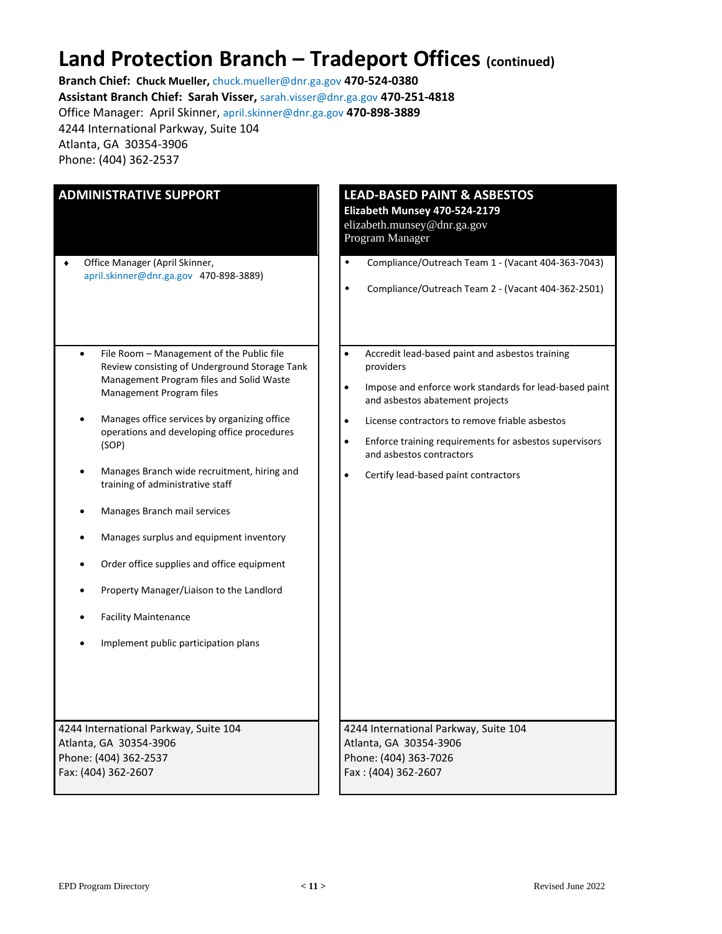## **Land Protection Branch – Tradeport Offices (continued)**

**Branch Chief: Chuck Mueller,** chuck.mueller@dnr.ga.gov **470-524-0380**

**Assistant Branch Chief: Sarah Visser,** sarah.visser@dnr.ga.gov **470-251-4818**

Office Manager: April Skinner, april.skinner@dnr.ga.gov **470-898-3889**

4244 International Parkway, Suite 104 Atlanta, GA 30354-3906

Phone: (404) 362-2537

| <b>ADMINISTRATIVE SUPPORT</b>                                                                                                                                                                                                                                                                                                                                                                                                                                                                                                                                                                                          | <b>LEAD-BASED PAINT &amp; ASBESTOS</b><br>Elizabeth Munsey 470-524-2179<br>elizabeth.munsey@dnr.ga.gov<br>Program Manager                                                                                                                                                                                                                                                                                  |  |  |
|------------------------------------------------------------------------------------------------------------------------------------------------------------------------------------------------------------------------------------------------------------------------------------------------------------------------------------------------------------------------------------------------------------------------------------------------------------------------------------------------------------------------------------------------------------------------------------------------------------------------|------------------------------------------------------------------------------------------------------------------------------------------------------------------------------------------------------------------------------------------------------------------------------------------------------------------------------------------------------------------------------------------------------------|--|--|
| Office Manager (April Skinner,<br>٠<br>april.skinner@dnr.ga.gov 470-898-3889)                                                                                                                                                                                                                                                                                                                                                                                                                                                                                                                                          | Compliance/Outreach Team 1 - (Vacant 404-363-7043)<br>٠<br>Compliance/Outreach Team 2 - (Vacant 404-362-2501)<br>٠                                                                                                                                                                                                                                                                                         |  |  |
| File Room - Management of the Public file<br>$\bullet$<br>Review consisting of Underground Storage Tank<br>Management Program files and Solid Waste<br>Management Program files<br>Manages office services by organizing office<br>operations and developing office procedures<br>(SOP)<br>Manages Branch wide recruitment, hiring and<br>training of administrative staff<br>Manages Branch mail services<br>Manages surplus and equipment inventory<br>Order office supplies and office equipment<br>Property Manager/Liaison to the Landlord<br><b>Facility Maintenance</b><br>Implement public participation plans | $\bullet$<br>Accredit lead-based paint and asbestos training<br>providers<br>Impose and enforce work standards for lead-based paint<br>$\bullet$<br>and asbestos abatement projects<br>License contractors to remove friable asbestos<br>$\bullet$<br>$\bullet$<br>Enforce training requirements for asbestos supervisors<br>and asbestos contractors<br>$\bullet$<br>Certify lead-based paint contractors |  |  |
| 4244 International Parkway, Suite 104<br>Atlanta, GA 30354-3906<br>Phone: (404) 362-2537<br>Fax: (404) 362-2607                                                                                                                                                                                                                                                                                                                                                                                                                                                                                                        | 4244 International Parkway, Suite 104<br>Atlanta, GA 30354-3906<br>Phone: (404) 363-7026<br>Fax: (404) 362-2607                                                                                                                                                                                                                                                                                            |  |  |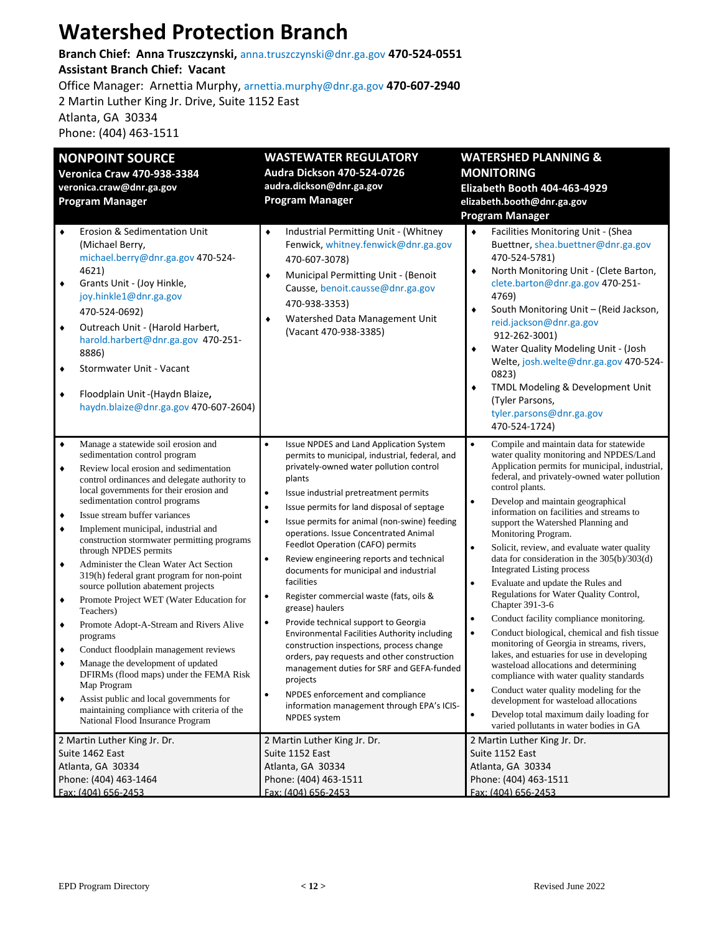## **Watershed Protection Branch**

**Branch Chief: Anna Truszczynski,** anna.truszczynski@dnr.ga.gov **470-524-0551 Assistant Branch Chief: Vacant** Office Manager: Arnettia Murphy, arnettia.murphy@dnr.ga.gov **470-607-2940** 2 Martin Luther King Jr. Drive, Suite 1152 East Atlanta, GA 30334 Phone: (404) 463-1511

| <b>NONPOINT SOURCE</b><br><b>Veronica Craw 470-938-3384</b><br>veronica.craw@dnr.ga.gov<br><b>Program Manager</b>                                                                                                                                                                                                                                                                                                                                                                                                                                                                                                                                                                                                                                                                                                                                                                                                                                                                                                    | <b>WASTEWATER REGULATORY</b><br>Audra Dickson 470-524-0726<br>audra.dickson@dnr.ga.gov<br><b>Program Manager</b>                                                                                                                                                                                                                                                                                                                                                                                                                                                                                                                                                                                                                                                                                                                                                                                                                                | <b>WATERSHED PLANNING &amp;</b><br><b>MONITORING</b><br>Elizabeth Booth 404-463-4929<br>elizabeth.booth@dnr.ga.gov<br><b>Program Manager</b>                                                                                                                                                                                                                                                                                                                                                                                                                                                                                                                                                                                                                                                                                                                                                                                                                                                                                                                                                                                               |
|----------------------------------------------------------------------------------------------------------------------------------------------------------------------------------------------------------------------------------------------------------------------------------------------------------------------------------------------------------------------------------------------------------------------------------------------------------------------------------------------------------------------------------------------------------------------------------------------------------------------------------------------------------------------------------------------------------------------------------------------------------------------------------------------------------------------------------------------------------------------------------------------------------------------------------------------------------------------------------------------------------------------|-------------------------------------------------------------------------------------------------------------------------------------------------------------------------------------------------------------------------------------------------------------------------------------------------------------------------------------------------------------------------------------------------------------------------------------------------------------------------------------------------------------------------------------------------------------------------------------------------------------------------------------------------------------------------------------------------------------------------------------------------------------------------------------------------------------------------------------------------------------------------------------------------------------------------------------------------|--------------------------------------------------------------------------------------------------------------------------------------------------------------------------------------------------------------------------------------------------------------------------------------------------------------------------------------------------------------------------------------------------------------------------------------------------------------------------------------------------------------------------------------------------------------------------------------------------------------------------------------------------------------------------------------------------------------------------------------------------------------------------------------------------------------------------------------------------------------------------------------------------------------------------------------------------------------------------------------------------------------------------------------------------------------------------------------------------------------------------------------------|
| $\bullet$<br><b>Erosion &amp; Sedimentation Unit</b><br>(Michael Berry,<br>michael.berry@dnr.ga.gov 470-524-<br>4621)<br>$\blacklozenge$<br>Grants Unit - (Joy Hinkle,<br>joy.hinkle1@dnr.ga.gov<br>470-524-0692)<br>Outreach Unit - (Harold Harbert,<br>$\blacklozenge$<br>harold.harbert@dnr.ga.gov 470-251-<br>8886)<br>Stormwater Unit - Vacant<br>٠<br>Floodplain Unit-(Haydn Blaize,<br>$\blacklozenge$<br>haydn.blaize@dnr.ga.gov 470-607-2604)                                                                                                                                                                                                                                                                                                                                                                                                                                                                                                                                                               | Industrial Permitting Unit - (Whitney<br>٠<br>Fenwick, whitney.fenwick@dnr.ga.gov<br>470-607-3078)<br>Municipal Permitting Unit - (Benoit<br>٠<br>Causse, benoit.causse@dnr.ga.gov<br>470-938-3353)<br>Watershed Data Management Unit<br>(Vacant 470-938-3385)                                                                                                                                                                                                                                                                                                                                                                                                                                                                                                                                                                                                                                                                                  | Facilities Monitoring Unit - (Shea<br>٠<br>Buettner, shea.buettner@dnr.ga.gov<br>470-524-5781)<br>North Monitoring Unit - (Clete Barton,<br>٠<br>clete.barton@dnr.ga.gov 470-251-<br>4769)<br>South Monitoring Unit - (Reid Jackson,<br>٠<br>reid.jackson@dnr.ga.gov<br>912-262-3001)<br>Water Quality Modeling Unit - (Josh<br>٠<br>Welte, josh.welte@dnr.ga.gov 470-524-<br>0823)<br>TMDL Modeling & Development Unit<br>۰<br>(Tyler Parsons,<br>tyler.parsons@dnr.ga.gov<br>470-524-1724)                                                                                                                                                                                                                                                                                                                                                                                                                                                                                                                                                                                                                                               |
| $\blacklozenge$<br>Manage a statewide soil erosion and<br>sedimentation control program<br>$\blacklozenge$<br>Review local erosion and sedimentation<br>control ordinances and delegate authority to<br>local governments for their erosion and<br>sedimentation control programs<br>Issue stream buffer variances<br>٠<br>$\bullet$<br>Implement municipal, industrial and<br>construction stormwater permitting programs<br>through NPDES permits<br>Administer the Clean Water Act Section<br>$\blacklozenge$<br>319(h) federal grant program for non-point<br>source pollution abatement projects<br>Promote Project WET (Water Education for<br>٠<br>Teachers)<br>Promote Adopt-A-Stream and Rivers Alive<br>٠<br>programs<br>Conduct floodplain management reviews<br>٠<br>Manage the development of updated<br>٠<br>DFIRMs (flood maps) under the FEMA Risk<br>Map Program<br>Assist public and local governments for<br>٠<br>maintaining compliance with criteria of the<br>National Flood Insurance Program | $\bullet$<br>Issue NPDES and Land Application System<br>permits to municipal, industrial, federal, and<br>privately-owned water pollution control<br>plants<br>Issue industrial pretreatment permits<br>$\bullet$<br>Issue permits for land disposal of septage<br>$\bullet$<br>Issue permits for animal (non-swine) feeding<br>operations. Issue Concentrated Animal<br>Feedlot Operation (CAFO) permits<br>Review engineering reports and technical<br>٠<br>documents for municipal and industrial<br>facilities<br>Register commercial waste (fats, oils &<br>٠<br>grease) haulers<br>Provide technical support to Georgia<br>٠<br>Environmental Facilities Authority including<br>construction inspections, process change<br>orders, pay requests and other construction<br>management duties for SRF and GEFA-funded<br>projects<br>NPDES enforcement and compliance<br>information management through EPA's ICIS-<br><b>NPDES</b> system | $\bullet$<br>Compile and maintain data for statewide<br>water quality monitoring and NPDES/Land<br>Application permits for municipal, industrial,<br>federal, and privately-owned water pollution<br>control plants.<br>Develop and maintain geographical<br>information on facilities and streams to<br>support the Watershed Planning and<br>Monitoring Program.<br>Solicit, review, and evaluate water quality<br>$\bullet$<br>data for consideration in the $305(b)/303(d)$<br><b>Integrated Listing process</b><br>Evaluate and update the Rules and<br>$\bullet$<br>Regulations for Water Quality Control,<br>Chapter 391-3-6<br>Conduct facility compliance monitoring.<br>$\bullet$<br>Conduct biological, chemical and fish tissue<br>$\bullet$<br>monitoring of Georgia in streams, rivers,<br>lakes, and estuaries for use in developing<br>wasteload allocations and determining<br>compliance with water quality standards<br>Conduct water quality modeling for the<br>$\bullet$<br>development for wasteload allocations<br>Develop total maximum daily loading for<br>$\bullet$<br>varied pollutants in water bodies in GA |
| 2 Martin Luther King Jr. Dr.<br>Suite 1462 East<br>Atlanta, GA 30334<br>Phone: (404) 463-1464<br>Fax: (404) 656-2453                                                                                                                                                                                                                                                                                                                                                                                                                                                                                                                                                                                                                                                                                                                                                                                                                                                                                                 | 2 Martin Luther King Jr. Dr.<br>Suite 1152 East<br>Atlanta, GA 30334<br>Phone: (404) 463-1511<br>Fax: (404) 656-2453                                                                                                                                                                                                                                                                                                                                                                                                                                                                                                                                                                                                                                                                                                                                                                                                                            | 2 Martin Luther King Jr. Dr.<br>Suite 1152 East<br>Atlanta, GA 30334<br>Phone: (404) 463-1511<br>Fax: (404) 656-2453                                                                                                                                                                                                                                                                                                                                                                                                                                                                                                                                                                                                                                                                                                                                                                                                                                                                                                                                                                                                                       |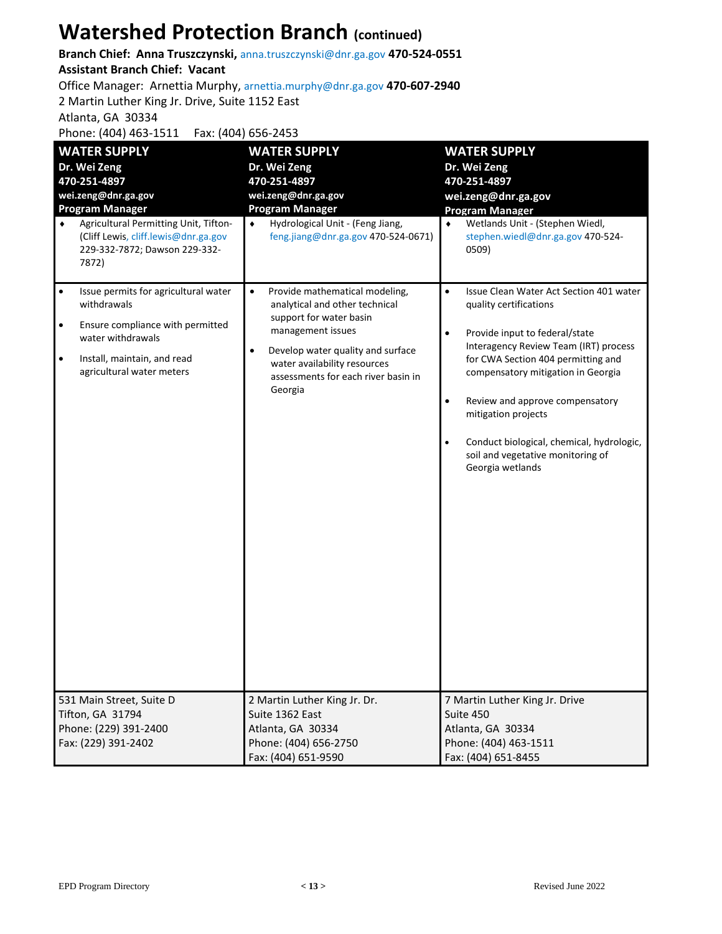## **Watershed Protection Branch (continued)**

**Branch Chief: Anna Truszczynski,** anna.truszczynski@dnr.ga.gov **470-524-0551**

#### **Assistant Branch Chief: Vacant**

Office Manager: Arnettia Murphy, arnettia.murphy@dnr.ga.gov **470-607-2940**

2 Martin Luther King Jr. Drive, Suite 1152 East

Atlanta, GA 30334

Phone: (404) 463-1511 Fax: (404) 656-2453

| <b>WATER SUPPLY</b><br>Dr. Wei Zeng<br>470-251-4897<br>wei.zeng@dnr.ga.gov<br><b>Program Manager</b><br>Agricultural Permitting Unit, Tifton-<br>٠<br>(Cliff Lewis, cliff.lewis@dnr.ga.gov                      | <b>WATER SUPPLY</b><br>Dr. Wei Zeng<br>470-251-4897<br>wei.zeng@dnr.ga.gov<br><b>Program Manager</b><br>Hydrological Unit - (Feng Jiang,<br>$\bullet$<br>feng.jiang@dnr.ga.gov 470-524-0671)                                                                      | <b>WATER SUPPLY</b><br>Dr. Wei Zeng<br>470-251-4897<br>wei.zeng@dnr.ga.gov<br><b>Program Manager</b><br>Wetlands Unit - (Stephen Wiedl,<br>$\bullet$<br>stephen.wiedl@dnr.ga.gov 470-524-                                                                                                                                                                                                                                                    |
|-----------------------------------------------------------------------------------------------------------------------------------------------------------------------------------------------------------------|-------------------------------------------------------------------------------------------------------------------------------------------------------------------------------------------------------------------------------------------------------------------|----------------------------------------------------------------------------------------------------------------------------------------------------------------------------------------------------------------------------------------------------------------------------------------------------------------------------------------------------------------------------------------------------------------------------------------------|
| 229-332-7872; Dawson 229-332-<br>7872)                                                                                                                                                                          |                                                                                                                                                                                                                                                                   | 0509)                                                                                                                                                                                                                                                                                                                                                                                                                                        |
| Issue permits for agricultural water<br>$\bullet$<br>withdrawals<br>Ensure compliance with permitted<br>$\bullet$<br>water withdrawals<br>Install, maintain, and read<br>$\bullet$<br>agricultural water meters | Provide mathematical modeling,<br>$\bullet$<br>analytical and other technical<br>support for water basin<br>management issues<br>Develop water quality and surface<br>$\bullet$<br>water availability resources<br>assessments for each river basin in<br>Georgia | $\bullet$<br>Issue Clean Water Act Section 401 water<br>quality certifications<br>$\bullet$<br>Provide input to federal/state<br>Interagency Review Team (IRT) process<br>for CWA Section 404 permitting and<br>compensatory mitigation in Georgia<br>Review and approve compensatory<br>$\bullet$<br>mitigation projects<br>$\bullet$<br>Conduct biological, chemical, hydrologic,<br>soil and vegetative monitoring of<br>Georgia wetlands |
| 531 Main Street, Suite D<br>Tifton, GA 31794<br>Phone: (229) 391-2400<br>Fax: (229) 391-2402                                                                                                                    | 2 Martin Luther King Jr. Dr.<br>Suite 1362 East<br>Atlanta, GA 30334<br>Phone: (404) 656-2750<br>Fax: (404) 651-9590                                                                                                                                              | 7 Martin Luther King Jr. Drive<br>Suite 450<br>Atlanta, GA 30334<br>Phone: (404) 463-1511<br>Fax: (404) 651-8455                                                                                                                                                                                                                                                                                                                             |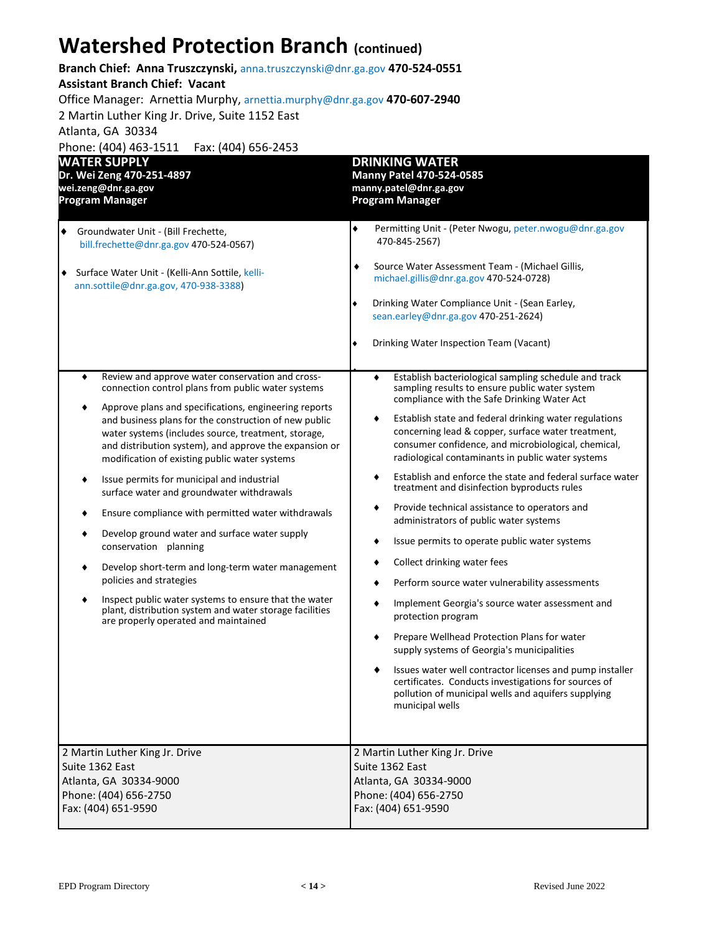## **Watershed Protection Branch (continued)**

#### **Branch Chief: Anna Truszczynski,** anna.truszczynski@dnr.ga.gov **470-524-0551**

#### **Assistant Branch Chief: Vacant**

Office Manager: Arnettia Murphy, arnettia.murphy@dnr.ga.gov **470-607-2940**

2 Martin Luther King Jr. Drive, Suite 1152 East

Atlanta, GA 30334

Phone: (404) 463-1511 Fax: (404) 656-2453

| <b>WATER SUPPLY</b>                                                                                                                                                                                                                                                                                                                                                                                                                                                                                                                                                                                                                                                                                                                                                                                                                                                                                  | <b>DRINKING WATER</b>                                                                                                                                                                                                                                                                                                                                                                                                                                                                                                                                                                                                                                                                                                                                                                                                                                                                                                                                                                                                                                                                                                    |
|------------------------------------------------------------------------------------------------------------------------------------------------------------------------------------------------------------------------------------------------------------------------------------------------------------------------------------------------------------------------------------------------------------------------------------------------------------------------------------------------------------------------------------------------------------------------------------------------------------------------------------------------------------------------------------------------------------------------------------------------------------------------------------------------------------------------------------------------------------------------------------------------------|--------------------------------------------------------------------------------------------------------------------------------------------------------------------------------------------------------------------------------------------------------------------------------------------------------------------------------------------------------------------------------------------------------------------------------------------------------------------------------------------------------------------------------------------------------------------------------------------------------------------------------------------------------------------------------------------------------------------------------------------------------------------------------------------------------------------------------------------------------------------------------------------------------------------------------------------------------------------------------------------------------------------------------------------------------------------------------------------------------------------------|
| Dr. Wei Zeng 470-251-4897                                                                                                                                                                                                                                                                                                                                                                                                                                                                                                                                                                                                                                                                                                                                                                                                                                                                            | <b>Manny Patel 470-524-0585</b>                                                                                                                                                                                                                                                                                                                                                                                                                                                                                                                                                                                                                                                                                                                                                                                                                                                                                                                                                                                                                                                                                          |
| wei.zeng@dnr.ga.gov                                                                                                                                                                                                                                                                                                                                                                                                                                                                                                                                                                                                                                                                                                                                                                                                                                                                                  | manny.patel@dnr.ga.gov                                                                                                                                                                                                                                                                                                                                                                                                                                                                                                                                                                                                                                                                                                                                                                                                                                                                                                                                                                                                                                                                                                   |
| <b>Program Manager</b>                                                                                                                                                                                                                                                                                                                                                                                                                                                                                                                                                                                                                                                                                                                                                                                                                                                                               | <b>Program Manager</b>                                                                                                                                                                                                                                                                                                                                                                                                                                                                                                                                                                                                                                                                                                                                                                                                                                                                                                                                                                                                                                                                                                   |
| Groundwater Unit - (Bill Frechette,<br>٠<br>bill.frechette@dnr.ga.gov 470-524-0567)<br>◆ Surface Water Unit - (Kelli-Ann Sottile, kelli-<br>ann.sottile@dnr.ga.gov, 470-938-3388)                                                                                                                                                                                                                                                                                                                                                                                                                                                                                                                                                                                                                                                                                                                    | Permitting Unit - (Peter Nwogu, peter.nwogu@dnr.ga.gov<br>470-845-2567)<br>Source Water Assessment Team - (Michael Gillis,<br>michael.gillis@dnr.ga.gov 470-524-0728)<br>Drinking Water Compliance Unit - (Sean Earley,<br>sean.earley@dnr.ga.gov 470-251-2624)<br>Drinking Water Inspection Team (Vacant)                                                                                                                                                                                                                                                                                                                                                                                                                                                                                                                                                                                                                                                                                                                                                                                                               |
| Review and approve water conservation and cross-<br>٠<br>connection control plans from public water systems<br>Approve plans and specifications, engineering reports<br>٠<br>and business plans for the construction of new public<br>water systems (includes source, treatment, storage,<br>and distribution system), and approve the expansion or<br>modification of existing public water systems<br>Issue permits for municipal and industrial<br>٠<br>surface water and groundwater withdrawals<br>Ensure compliance with permitted water withdrawals<br>٠<br>Develop ground water and surface water supply<br>٠<br>conservation planning<br>Develop short-term and long-term water management<br>٠<br>policies and strategies<br>Inspect public water systems to ensure that the water<br>٠<br>plant, distribution system and water storage facilities<br>are properly operated and maintained | Establish bacteriological sampling schedule and track<br>٠<br>sampling results to ensure public water system<br>compliance with the Safe Drinking Water Act<br>Establish state and federal drinking water regulations<br>٠<br>concerning lead & copper, surface water treatment,<br>consumer confidence, and microbiological, chemical,<br>radiological contaminants in public water systems<br>Establish and enforce the state and federal surface water<br>treatment and disinfection byproducts rules<br>Provide technical assistance to operators and<br>administrators of public water systems<br>Issue permits to operate public water systems<br>٠<br>Collect drinking water fees<br>Perform source water vulnerability assessments<br>٠<br>Implement Georgia's source water assessment and<br>٠<br>protection program<br>Prepare Wellhead Protection Plans for water<br>supply systems of Georgia's municipalities<br>Issues water well contractor licenses and pump installer<br>certificates. Conducts investigations for sources of<br>pollution of municipal wells and aquifers supplying<br>municipal wells |
| 2 Martin Luther King Jr. Drive                                                                                                                                                                                                                                                                                                                                                                                                                                                                                                                                                                                                                                                                                                                                                                                                                                                                       | 2 Martin Luther King Jr. Drive                                                                                                                                                                                                                                                                                                                                                                                                                                                                                                                                                                                                                                                                                                                                                                                                                                                                                                                                                                                                                                                                                           |
| Suite 1362 East                                                                                                                                                                                                                                                                                                                                                                                                                                                                                                                                                                                                                                                                                                                                                                                                                                                                                      | Suite 1362 East                                                                                                                                                                                                                                                                                                                                                                                                                                                                                                                                                                                                                                                                                                                                                                                                                                                                                                                                                                                                                                                                                                          |
| Atlanta, GA 30334-9000                                                                                                                                                                                                                                                                                                                                                                                                                                                                                                                                                                                                                                                                                                                                                                                                                                                                               | Atlanta, GA 30334-9000                                                                                                                                                                                                                                                                                                                                                                                                                                                                                                                                                                                                                                                                                                                                                                                                                                                                                                                                                                                                                                                                                                   |
| Phone: (404) 656-2750                                                                                                                                                                                                                                                                                                                                                                                                                                                                                                                                                                                                                                                                                                                                                                                                                                                                                | Phone: (404) 656-2750                                                                                                                                                                                                                                                                                                                                                                                                                                                                                                                                                                                                                                                                                                                                                                                                                                                                                                                                                                                                                                                                                                    |
| Fax: (404) 651-9590                                                                                                                                                                                                                                                                                                                                                                                                                                                                                                                                                                                                                                                                                                                                                                                                                                                                                  | Fax: (404) 651-9590                                                                                                                                                                                                                                                                                                                                                                                                                                                                                                                                                                                                                                                                                                                                                                                                                                                                                                                                                                                                                                                                                                      |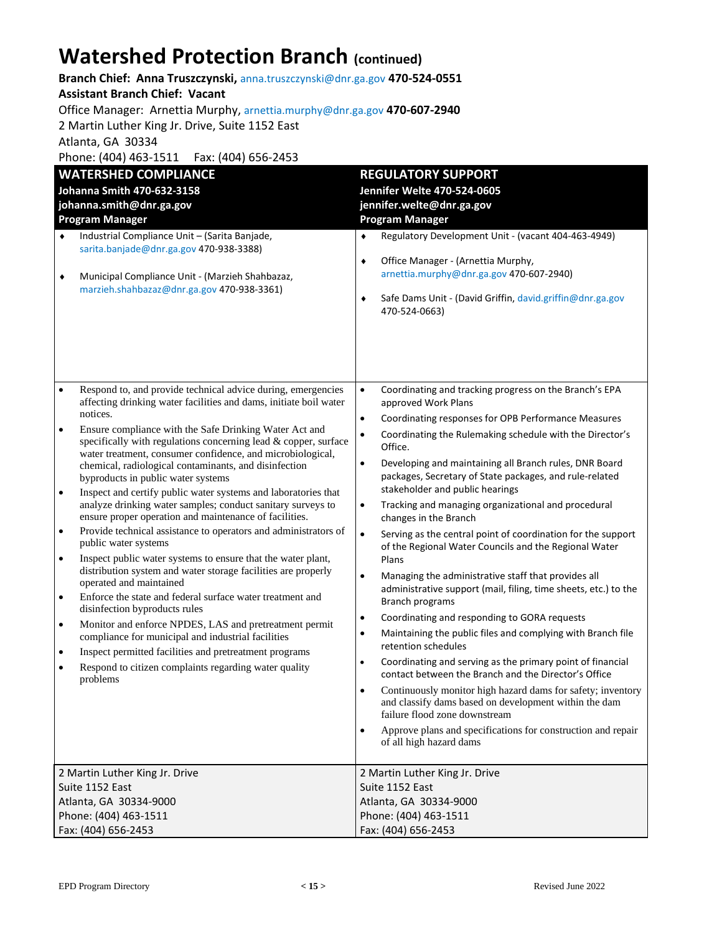## **Watershed Protection Branch (continued)**

**Branch Chief: Anna Truszczynski,** anna.truszczynski@dnr.ga.gov **470-524-0551 Assistant Branch Chief: Vacant**

Office Manager: Arnettia Murphy, arnettia.murphy@dnr.ga.gov **470-607-2940**

2 Martin Luther King Jr. Drive, Suite 1152 East

Atlanta, GA 30334

Phone: (404) 463-1511 Fax: (404) 656-2453

|                                                                                                                                                                                                                   | <b>WATERSHED COMPLIANCE</b>                                                                                                                                                                                                                                                                                  |                                                                                                                                                                                                    | <b>REGULATORY SUPPORT</b>                                                                                                                             |  |
|-------------------------------------------------------------------------------------------------------------------------------------------------------------------------------------------------------------------|--------------------------------------------------------------------------------------------------------------------------------------------------------------------------------------------------------------------------------------------------------------------------------------------------------------|----------------------------------------------------------------------------------------------------------------------------------------------------------------------------------------------------|-------------------------------------------------------------------------------------------------------------------------------------------------------|--|
|                                                                                                                                                                                                                   | Johanna Smith 470-632-3158                                                                                                                                                                                                                                                                                   |                                                                                                                                                                                                    | Jennifer Welte 470-524-0605                                                                                                                           |  |
|                                                                                                                                                                                                                   | johanna.smith@dnr.ga.gov                                                                                                                                                                                                                                                                                     |                                                                                                                                                                                                    | jennifer.welte@dnr.ga.gov                                                                                                                             |  |
|                                                                                                                                                                                                                   | <b>Program Manager</b>                                                                                                                                                                                                                                                                                       |                                                                                                                                                                                                    | <b>Program Manager</b>                                                                                                                                |  |
| Industrial Compliance Unit - (Sarita Banjade,<br>$\blacklozenge$<br>sarita.banjade@dnr.ga.gov 470-938-3388)<br>Municipal Compliance Unit - (Marzieh Shahbazaz,<br>٠<br>marzieh.shahbazaz@dnr.ga.gov 470-938-3361) | ۰<br>٠<br>٠                                                                                                                                                                                                                                                                                                  | Regulatory Development Unit - (vacant 404-463-4949)<br>Office Manager - (Arnettia Murphy,<br>arnettia.murphy@dnr.ga.gov 470-607-2940)<br>Safe Dams Unit - (David Griffin, david.griffin@dnr.ga.gov |                                                                                                                                                       |  |
|                                                                                                                                                                                                                   |                                                                                                                                                                                                                                                                                                              |                                                                                                                                                                                                    | 470-524-0663)                                                                                                                                         |  |
| $\bullet$                                                                                                                                                                                                         | Respond to, and provide technical advice during, emergencies<br>affecting drinking water facilities and dams, initiate boil water                                                                                                                                                                            | $\bullet$                                                                                                                                                                                          | Coordinating and tracking progress on the Branch's EPA<br>approved Work Plans                                                                         |  |
|                                                                                                                                                                                                                   | notices.                                                                                                                                                                                                                                                                                                     | $\bullet$                                                                                                                                                                                          | Coordinating responses for OPB Performance Measures                                                                                                   |  |
| Ensure compliance with the Safe Drinking Water Act and<br>$\bullet$<br>specifically with regulations concerning lead $&$ copper, surface<br>water treatment, consumer confidence, and microbiological,            | $\bullet$                                                                                                                                                                                                                                                                                                    | Coordinating the Rulemaking schedule with the Director's<br>Office.                                                                                                                                |                                                                                                                                                       |  |
| $\bullet$                                                                                                                                                                                                         | chemical, radiological contaminants, and disinfection<br>byproducts in public water systems<br>Inspect and certify public water systems and laboratories that                                                                                                                                                | $\bullet$                                                                                                                                                                                          | Developing and maintaining all Branch rules, DNR Board<br>packages, Secretary of State packages, and rule-related<br>stakeholder and public hearings  |  |
|                                                                                                                                                                                                                   | analyze drinking water samples; conduct sanitary surveys to<br>ensure proper operation and maintenance of facilities.                                                                                                                                                                                        | $\bullet$                                                                                                                                                                                          | Tracking and managing organizational and procedural<br>changes in the Branch                                                                          |  |
| $\bullet$                                                                                                                                                                                                         | Provide technical assistance to operators and administrators of<br>public water systems                                                                                                                                                                                                                      | $\bullet$                                                                                                                                                                                          | Serving as the central point of coordination for the support<br>of the Regional Water Councils and the Regional Water                                 |  |
| $\bullet$                                                                                                                                                                                                         | Inspect public water systems to ensure that the water plant,<br>distribution system and water storage facilities are properly                                                                                                                                                                                | $\bullet$                                                                                                                                                                                          | Plans<br>Managing the administrative staff that provides all                                                                                          |  |
| $\bullet$                                                                                                                                                                                                         | operated and maintained<br>Enforce the state and federal surface water treatment and<br>disinfection byproducts rules<br>Monitor and enforce NPDES, LAS and pretreatment permit<br>$\bullet$<br>compliance for municipal and industrial facilities<br>Inspect permitted facilities and pretreatment programs |                                                                                                                                                                                                    | administrative support (mail, filing, time sheets, etc.) to the<br><b>Branch programs</b>                                                             |  |
|                                                                                                                                                                                                                   |                                                                                                                                                                                                                                                                                                              | $\bullet$                                                                                                                                                                                          | Coordinating and responding to GORA requests                                                                                                          |  |
| $\bullet$                                                                                                                                                                                                         |                                                                                                                                                                                                                                                                                                              | $\bullet$                                                                                                                                                                                          | Maintaining the public files and complying with Branch file<br>retention schedules                                                                    |  |
| $\bullet$                                                                                                                                                                                                         | Respond to citizen complaints regarding water quality<br>problems                                                                                                                                                                                                                                            | $\bullet$                                                                                                                                                                                          | Coordinating and serving as the primary point of financial<br>contact between the Branch and the Director's Office                                    |  |
|                                                                                                                                                                                                                   |                                                                                                                                                                                                                                                                                                              |                                                                                                                                                                                                    | Continuously monitor high hazard dams for safety; inventory<br>and classify dams based on development within the dam<br>failure flood zone downstream |  |
|                                                                                                                                                                                                                   |                                                                                                                                                                                                                                                                                                              | $\bullet$                                                                                                                                                                                          | Approve plans and specifications for construction and repair<br>of all high hazard dams                                                               |  |
|                                                                                                                                                                                                                   | 2 Martin Luther King Jr. Drive                                                                                                                                                                                                                                                                               |                                                                                                                                                                                                    | 2 Martin Luther King Jr. Drive                                                                                                                        |  |
|                                                                                                                                                                                                                   | Suite 1152 East                                                                                                                                                                                                                                                                                              |                                                                                                                                                                                                    | Suite 1152 East                                                                                                                                       |  |
|                                                                                                                                                                                                                   | Atlanta, GA 30334-9000                                                                                                                                                                                                                                                                                       |                                                                                                                                                                                                    | Atlanta, GA 30334-9000                                                                                                                                |  |
|                                                                                                                                                                                                                   | Phone: (404) 463-1511                                                                                                                                                                                                                                                                                        |                                                                                                                                                                                                    | Phone: (404) 463-1511                                                                                                                                 |  |
|                                                                                                                                                                                                                   | Fax: (404) 656-2453                                                                                                                                                                                                                                                                                          |                                                                                                                                                                                                    | Fax: (404) 656-2453                                                                                                                                   |  |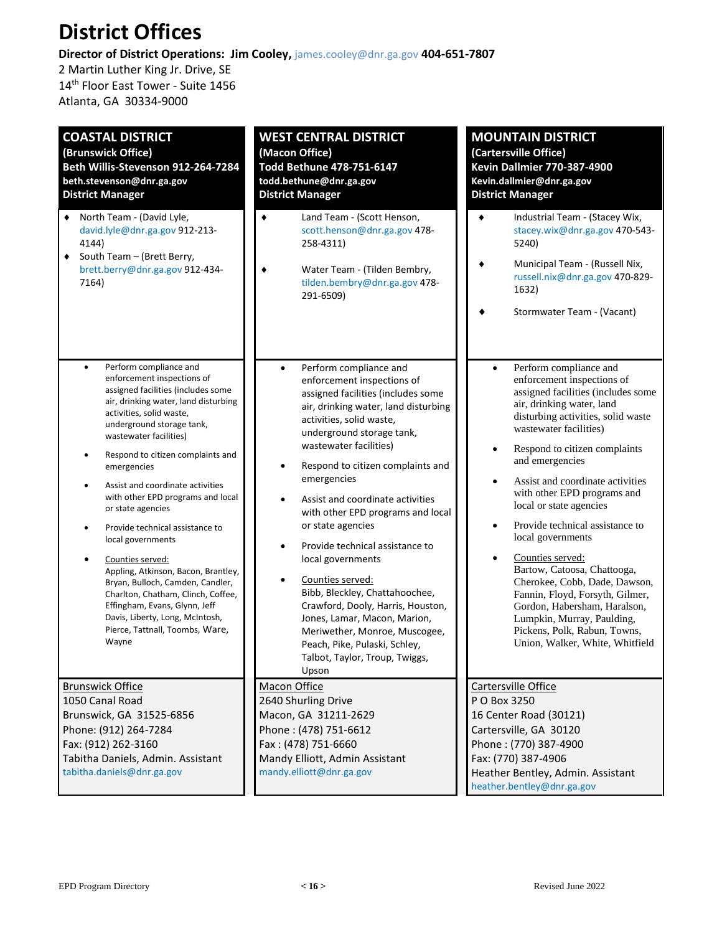## **District Offices**

**Director of District Operations: Jim Cooley,** james.cooley@dnr.ga.gov **404-651-7807**

2 Martin Luther King Jr. Drive, SE 14<sup>th</sup> Floor East Tower - Suite 1456 Atlanta, GA 30334-9000

| <b>COASTAL DISTRICT</b><br>(Brunswick Office)<br>Beth Willis-Stevenson 912-264-7284<br>beth.stevenson@dnr.ga.gov<br><b>District Manager</b>                                                                                                                                                                                                                                                                                                                                                                                                                                                                                                                                                                                              | <b>WEST CENTRAL DISTRICT</b><br>(Macon Office)<br>Todd Bethune 478-751-6147<br>todd.bethune@dnr.ga.gov<br><b>District Manager</b>                                                                                                                                                                                                                                                                                                                                                                                                                                                                                                                                                    | <b>MOUNTAIN DISTRICT</b><br>(Cartersville Office)<br><b>Kevin Dallmier 770-387-4900</b><br>Kevin.dallmier@dnr.ga.gov<br><b>District Manager</b>                                                                                                                                                                                                                                                                                                                                                                                                                                                                                                                                                  |
|------------------------------------------------------------------------------------------------------------------------------------------------------------------------------------------------------------------------------------------------------------------------------------------------------------------------------------------------------------------------------------------------------------------------------------------------------------------------------------------------------------------------------------------------------------------------------------------------------------------------------------------------------------------------------------------------------------------------------------------|--------------------------------------------------------------------------------------------------------------------------------------------------------------------------------------------------------------------------------------------------------------------------------------------------------------------------------------------------------------------------------------------------------------------------------------------------------------------------------------------------------------------------------------------------------------------------------------------------------------------------------------------------------------------------------------|--------------------------------------------------------------------------------------------------------------------------------------------------------------------------------------------------------------------------------------------------------------------------------------------------------------------------------------------------------------------------------------------------------------------------------------------------------------------------------------------------------------------------------------------------------------------------------------------------------------------------------------------------------------------------------------------------|
| ◆ North Team - (David Lyle,<br>david.lyle@dnr.ga.gov 912-213-<br>4144)<br>South Team - (Brett Berry,<br>٠<br>brett.berry@dnr.ga.gov 912-434-<br>7164)                                                                                                                                                                                                                                                                                                                                                                                                                                                                                                                                                                                    | Land Team - (Scott Henson,<br>٠<br>scott.henson@dnr.ga.gov 478-<br>258-4311)<br>Water Team - (Tilden Bembry,<br>٠<br>tilden.bembry@dnr.ga.gov 478-<br>291-6509)                                                                                                                                                                                                                                                                                                                                                                                                                                                                                                                      | Industrial Team - (Stacey Wix,<br>٠<br>stacey.wix@dnr.ga.gov 470-543-<br>5240)<br>Municipal Team - (Russell Nix,<br>russell.nix@dnr.ga.gov 470-829-<br>1632)<br>Stormwater Team - (Vacant)                                                                                                                                                                                                                                                                                                                                                                                                                                                                                                       |
| Perform compliance and<br>$\bullet$<br>enforcement inspections of<br>assigned facilities (includes some<br>air, drinking water, land disturbing<br>activities, solid waste,<br>underground storage tank,<br>wastewater facilities)<br>Respond to citizen complaints and<br>$\bullet$<br>emergencies<br>Assist and coordinate activities<br>$\bullet$<br>with other EPD programs and local<br>or state agencies<br>Provide technical assistance to<br>$\bullet$<br>local governments<br>Counties served:<br>Appling, Atkinson, Bacon, Brantley,<br>Bryan, Bulloch, Camden, Candler,<br>Charlton, Chatham, Clinch, Coffee,<br>Effingham, Evans, Glynn, Jeff<br>Davis, Liberty, Long, McIntosh,<br>Pierce, Tattnall, Toombs, Ware,<br>Wayne | Perform compliance and<br>$\bullet$<br>enforcement inspections of<br>assigned facilities (includes some<br>air, drinking water, land disturbing<br>activities, solid waste,<br>underground storage tank,<br>wastewater facilities)<br>Respond to citizen complaints and<br>emergencies<br>Assist and coordinate activities<br>with other EPD programs and local<br>or state agencies<br>Provide technical assistance to<br>local governments<br>Counties served:<br>Bibb, Bleckley, Chattahoochee,<br>Crawford, Dooly, Harris, Houston,<br>Jones, Lamar, Macon, Marion,<br>Meriwether, Monroe, Muscogee,<br>Peach, Pike, Pulaski, Schley,<br>Talbot, Taylor, Troup, Twiggs,<br>Upson | Perform compliance and<br>$\bullet$<br>enforcement inspections of<br>assigned facilities (includes some<br>air, drinking water, land<br>disturbing activities, solid waste<br>wastewater facilities)<br>Respond to citizen complaints<br>$\bullet$<br>and emergencies<br>Assist and coordinate activities<br>with other EPD programs and<br>local or state agencies<br>Provide technical assistance to<br>$\bullet$<br>local governments<br>Counties served:<br>Bartow, Catoosa, Chattooga,<br>Cherokee, Cobb, Dade, Dawson,<br>Fannin, Floyd, Forsyth, Gilmer,<br>Gordon, Habersham, Haralson,<br>Lumpkin, Murray, Paulding,<br>Pickens, Polk, Rabun, Towns,<br>Union, Walker, White, Whitfield |
| <b>Brunswick Office</b><br>1050 Canal Road<br>Brunswick, GA 31525-6856<br>Phone: (912) 264-7284<br>Fax: (912) 262-3160<br>Tabitha Daniels, Admin. Assistant<br>tabitha.daniels@dnr.ga.gov                                                                                                                                                                                                                                                                                                                                                                                                                                                                                                                                                | <b>Macon Office</b><br>2640 Shurling Drive<br>Macon, GA 31211-2629<br>Phone: (478) 751-6612<br>Fax: (478) 751-6660<br>Mandy Elliott, Admin Assistant<br>mandy.elliott@dnr.ga.gov                                                                                                                                                                                                                                                                                                                                                                                                                                                                                                     | Cartersville Office<br>P O Box 3250<br>16 Center Road (30121)<br>Cartersville, GA 30120<br>Phone: (770) 387-4900<br>Fax: (770) 387-4906<br>Heather Bentley, Admin. Assistant<br>heather.bentley@dnr.ga.gov                                                                                                                                                                                                                                                                                                                                                                                                                                                                                       |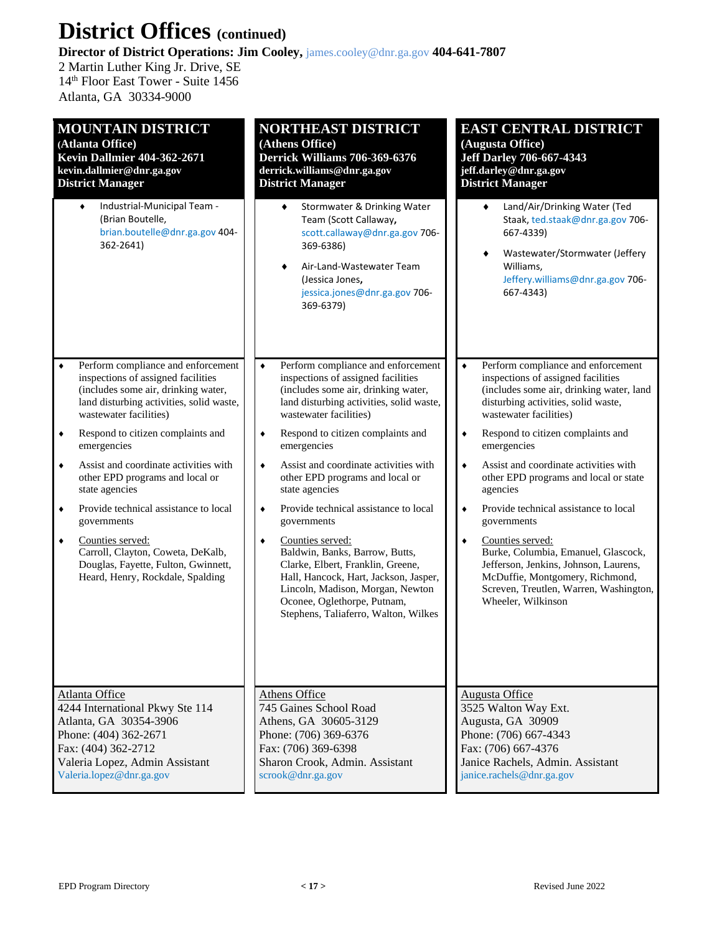## **District Offices (continued)**

**Director of District Operations: Jim Cooley,** james.cooley@dnr.ga.gov **404-641-7807**

2 Martin Luther King Jr. Drive, SE 14th Floor East Tower - Suite 1456 Atlanta, GA 30334-9000

| <b>MOUNTAIN DISTRICT</b>                                                                                                                            | NORTHEAST DISTRICT                                                                                                                                                                                                                               | <b>EAST CENTRAL DISTRICT</b>                                                                                                                                                                             |
|-----------------------------------------------------------------------------------------------------------------------------------------------------|--------------------------------------------------------------------------------------------------------------------------------------------------------------------------------------------------------------------------------------------------|----------------------------------------------------------------------------------------------------------------------------------------------------------------------------------------------------------|
| (Atlanta Office)                                                                                                                                    | (Athens Office)                                                                                                                                                                                                                                  | (Augusta Office)                                                                                                                                                                                         |
| <b>Kevin Dallmier 404-362-2671</b>                                                                                                                  | Derrick Williams 706-369-6376                                                                                                                                                                                                                    | <b>Jeff Darley 706-667-4343</b>                                                                                                                                                                          |
| kevin.dallmier@dnr.ga.gov                                                                                                                           | derrick.williams@dnr.ga.gov                                                                                                                                                                                                                      | jeff.darley@dnr.ga.gov                                                                                                                                                                                   |
| <b>District Manager</b>                                                                                                                             | <b>District Manager</b>                                                                                                                                                                                                                          | <b>District Manager</b>                                                                                                                                                                                  |
| Industrial-Municipal Team -<br>٠<br>(Brian Boutelle,<br>brian.boutelle@dnr.ga.gov 404-<br>362-2641)                                                 | Stormwater & Drinking Water<br>٠<br>Team (Scott Callaway,<br>scott.callaway@dnr.ga.gov 706-<br>369-6386)<br>Air-Land-Wastewater Team<br>(Jessica Jones,<br>jessica.jones@dnr.ga.gov 706-<br>369-6379)                                            | Land/Air/Drinking Water (Ted<br>٠<br>Staak, ted.staak@dnr.ga.gov 706-<br>667-4339)<br>Wastewater/Stormwater (Jeffery<br>٠<br>Williams,<br>Jeffery.williams@dnr.ga.gov 706-<br>667-4343)                  |
| Perform compliance and enforcement                                                                                                                  | Perform compliance and enforcement                                                                                                                                                                                                               | Perform compliance and enforcement                                                                                                                                                                       |
| ۰                                                                                                                                                   | $\blacklozenge$                                                                                                                                                                                                                                  | $\blacklozenge$                                                                                                                                                                                          |
| inspections of assigned facilities                                                                                                                  | inspections of assigned facilities                                                                                                                                                                                                               | inspections of assigned facilities                                                                                                                                                                       |
| (includes some air, drinking water,                                                                                                                 | (includes some air, drinking water,                                                                                                                                                                                                              | (includes some air, drinking water, land                                                                                                                                                                 |
| land disturbing activities, solid waste,                                                                                                            | land disturbing activities, solid waste,                                                                                                                                                                                                         | disturbing activities, solid waste,                                                                                                                                                                      |
| wastewater facilities)                                                                                                                              | wastewater facilities)                                                                                                                                                                                                                           | wastewater facilities)                                                                                                                                                                                   |
| Respond to citizen complaints and                                                                                                                   | Respond to citizen complaints and                                                                                                                                                                                                                | Respond to citizen complaints and                                                                                                                                                                        |
| ٠                                                                                                                                                   | ٠                                                                                                                                                                                                                                                | $\blacklozenge$                                                                                                                                                                                          |
| emergencies                                                                                                                                         | emergencies                                                                                                                                                                                                                                      | emergencies                                                                                                                                                                                              |
| Assist and coordinate activities with                                                                                                               | Assist and coordinate activities with                                                                                                                                                                                                            | Assist and coordinate activities with                                                                                                                                                                    |
| $\blacklozenge$                                                                                                                                     | $\bullet$                                                                                                                                                                                                                                        | $\bullet$                                                                                                                                                                                                |
| other EPD programs and local or                                                                                                                     | other EPD programs and local or                                                                                                                                                                                                                  | other EPD programs and local or state                                                                                                                                                                    |
| state agencies                                                                                                                                      | state agencies                                                                                                                                                                                                                                   | agencies                                                                                                                                                                                                 |
| Provide technical assistance to local                                                                                                               | Provide technical assistance to local                                                                                                                                                                                                            | Provide technical assistance to local                                                                                                                                                                    |
| ۰                                                                                                                                                   | ٠                                                                                                                                                                                                                                                | ٠                                                                                                                                                                                                        |
| governments                                                                                                                                         | governments                                                                                                                                                                                                                                      | governments                                                                                                                                                                                              |
| Counties served:<br>$\blacklozenge$<br>Carroll, Clayton, Coweta, DeKalb,<br>Douglas, Fayette, Fulton, Gwinnett,<br>Heard, Henry, Rockdale, Spalding | Counties served:<br>٠<br>Baldwin, Banks, Barrow, Butts,<br>Clarke, Elbert, Franklin, Greene,<br>Hall, Hancock, Hart, Jackson, Jasper,<br>Lincoln, Madison, Morgan, Newton<br>Oconee, Oglethorpe, Putnam,<br>Stephens, Taliaferro, Walton, Wilkes | Counties served:<br>٠<br>Burke, Columbia, Emanuel, Glascock,<br>Jefferson, Jenkins, Johnson, Laurens,<br>McDuffie, Montgomery, Richmond,<br>Screven, Treutlen, Warren, Washington,<br>Wheeler, Wilkinson |
| <b>Atlanta Office</b>                                                                                                                               | Athens Office                                                                                                                                                                                                                                    | <b>Augusta Office</b>                                                                                                                                                                                    |
| 4244 International Pkwy Ste 114                                                                                                                     | 745 Gaines School Road                                                                                                                                                                                                                           | 3525 Walton Way Ext.                                                                                                                                                                                     |
| Atlanta, GA 30354-3906                                                                                                                              | Athens, GA 30605-3129                                                                                                                                                                                                                            | Augusta, GA 30909                                                                                                                                                                                        |
| Phone: (404) 362-2671                                                                                                                               | Phone: (706) 369-6376                                                                                                                                                                                                                            | Phone: (706) 667-4343                                                                                                                                                                                    |
| Fax: (404) 362-2712                                                                                                                                 | Fax: (706) 369-6398                                                                                                                                                                                                                              | Fax: (706) 667-4376                                                                                                                                                                                      |
| Valeria Lopez, Admin Assistant                                                                                                                      | Sharon Crook, Admin. Assistant                                                                                                                                                                                                                   | Janice Rachels, Admin. Assistant                                                                                                                                                                         |
| Valeria.lopez@dnr.ga.gov                                                                                                                            | scrook@dnr.ga.gov                                                                                                                                                                                                                                | janice.rachels@dnr.ga.gov                                                                                                                                                                                |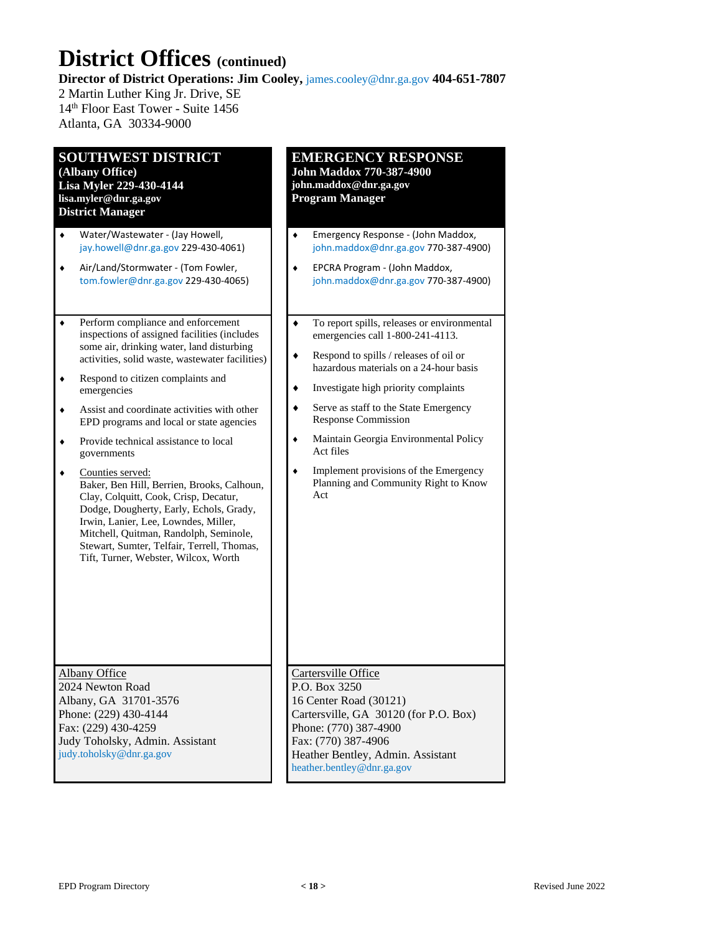## **District Offices (continued)**

**Director of District Operations: Jim Cooley,** james.cooley@dnr.ga.gov **404-651-7807**

2 Martin Luther King Jr. Drive, SE 14th Floor East Tower - Suite 1456 Atlanta, GA 30334-9000

### **SOUTHWEST DISTRICT**

**(Albany Office) Lisa Myler 229-430-4144 lisa.myler@dnr.ga.gov District Manager**

- Water/Wastewater (Jay Howell, jay.howell@dnr.ga.gov 229-430-4061)
- Air/Land/Stormwater (Tom Fowler, tom.fowler@dnr.ga.gov 229-430-4065)
- ◆ Perform compliance and enforcement inspections of assigned facilities (includes some air, drinking water, land disturbing activities, solid waste, wastewater facilities)
- Respond to citizen complaints and emergencies
- Assist and coordinate activities with other EPD programs and local or state agencies
- Provide technical assistance to local governments
- Counties served: Baker, Ben Hill, Berrien, Brooks, Calhoun, Clay, Colquitt, Cook, Crisp, Decatur, Dodge, Dougherty, Early, Echols, Grady, Irwin, Lanier, Lee, Lowndes, Miller, Mitchell, Quitman, Randolph, Seminole, Stewart, Sumter, Telfair, Terrell, Thomas, Tift, Turner, Webster, Wilcox, Worth

Albany Office 2024 Newton Road Albany, GA 31701-3576 Phone: (229) 430-4144 Fax: (229) 430-4259 Judy Toholsky, Admin. Assistant judy.toholsky@dnr.ga.gov

#### **EMERGENCY RESPONSE John Maddox 770-387-4900**

**john.maddox@dnr.ga.gov Program Manager**

- Emergency Response (John Maddox, john.maddox@dnr.ga.gov 770-387-4900)
- EPCRA Program (John Maddox, john.maddox@dnr.ga.gov 770-387-4900)
- To report spills, releases or environmental emergencies call 1-800-241-4113.
- Respond to spills / releases of oil or hazardous materials on a 24-hour basis
- $\bullet$  Investigate high priority complaints
- Serve as staff to the State Emergency Response Commission
- Maintain Georgia Environmental Policy Act files
- $\bullet$  Implement provisions of the Emergency Planning and Community Right to Know Act

#### Cartersville Office

P.O. Box 3250 16 Center Road (30121) Cartersville, GA 30120 (for P.O. Box) Phone: (770) 387-4900 Fax: (770) 387-4906 Heather Bentley, Admin. Assistant heather.bentley@dnr.ga.gov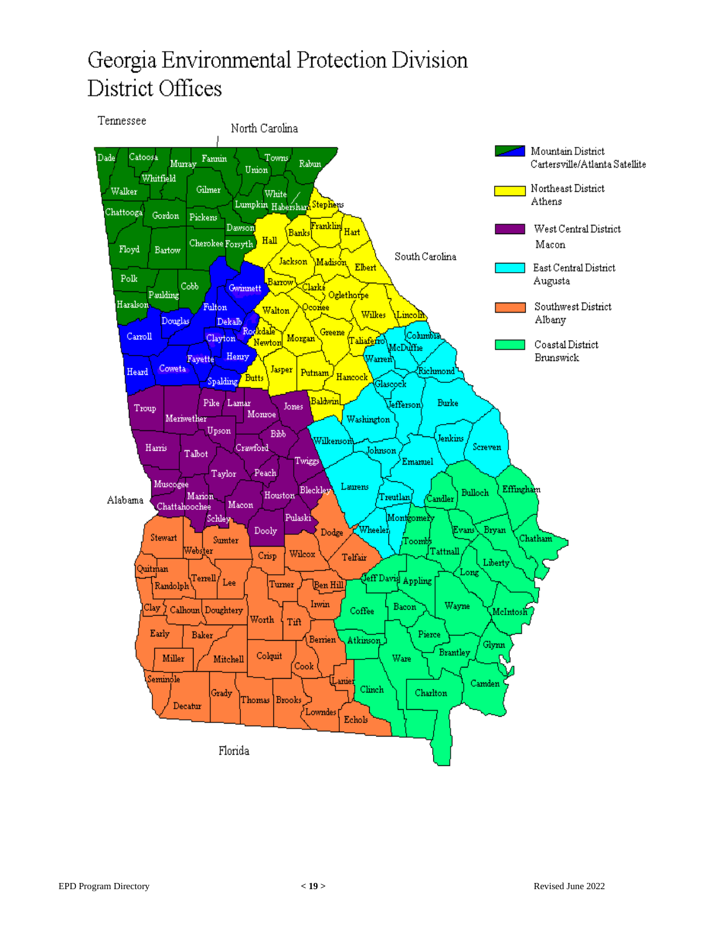## Georgia Environmental Protection Division District Offices

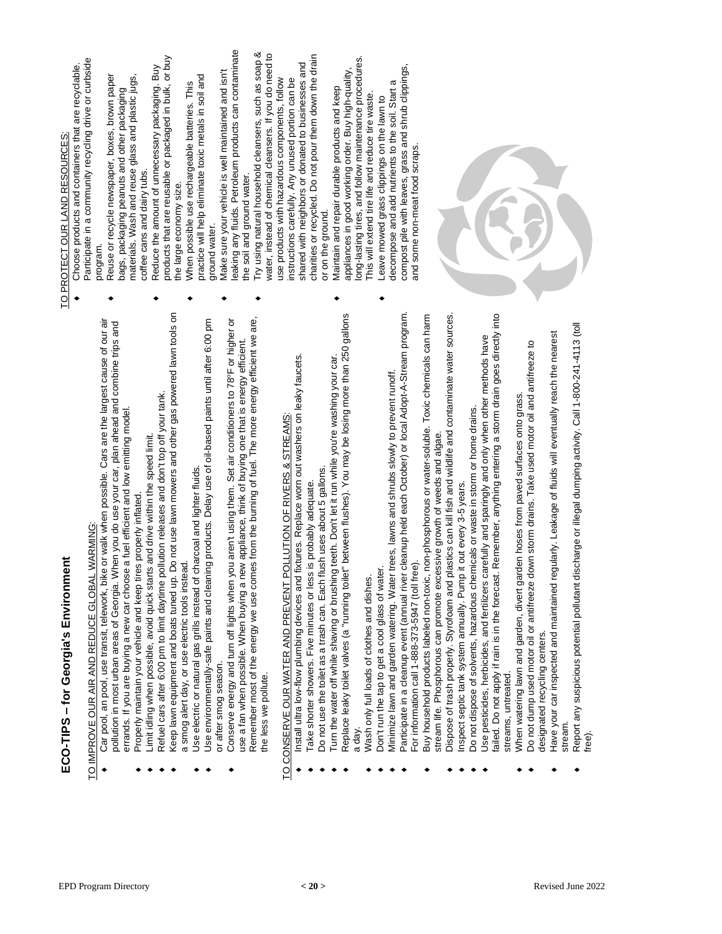| ı |
|---|
|   |
|   |
| ۱ |
|   |
|   |
|   |
|   |
|   |
|   |
|   |
|   |
| ı |
|   |
|   |
| l |
|   |
|   |
|   |
|   |
|   |
|   |
|   |
| į |
|   |
|   |

# TO IMPROVE OUR AIR AND REDUCE GLOBAL WAR ≦<br>M

G:

- Car pool, an pool, use transit, telework, bike or walk when possible. Cars are the largest cause of our air pollution in most urban areas of Georgia. When you do use your car, plan ahead and combine trips and pollution in most urban areas of Georgia. When you do use your car, plan ahead and combine trips and car choose a fuel efficient and low emitting model. errands. If you are buying a new car choose a fuel efficient and low emitting model. Properly maintain your vehicle and keep tires properly inflated. errands. If you are buying a ne  $\bullet$ ٠
	- Properly maintain your vehicle and keep tires properly inflated.
- Limit idling when possible, avoid quick starts and drive within the speed limit. Limit idling when possible, avoid quick starts and drive within the speed limit. ٠
- Refuel cars after 6:00 pm to limit daytime pollution releases and don't top off your tank. Refuel cars after 6:00 pm to limit daytime pollution releases and don't top off your tank. ٠ ٠
- Keep lawn equipment and boats tuned up. Do not use lawn mowers and other gas powered lawn tools on Keep lawn equipment and boats tuned up. Do not use lawn mowers and other gas powered lawn tools on a smog alert day, or use electric tools instead. a smog alert day, or use electric tools instead.
- Use electric or natural gas grills instead of charcoal and lighter fluids. Use electric or natural gas grills instead of charcoal and lighter fluids. ٠
- Use environmentally-safe paints and cleaning products. Delay use of oil-based paints until after 6:00 pm Use environmentally-safe paints and cleaning products. Delay use of oil-based paints until after 6:00 pm or after smog season. or after smog season. ٠
- Remember most of the energy we use comes from the burning of fuel. The more energy efficient we are, Conserve energy and turn off lights when you aren't using them. Set air conditioners to 78°F or higher or oF or higher or Remember most of the energy we use comes from the burning of fuel. The more energy efficient we are, use a fan when possible. When buying a new appliance, think of buying one that is energy efficient.<br>Decedent on the first of the control of the second theory of the control of the control of the control of the use a fan when possible. When buying a new appliance, think of buying one that is energy efficient Conserve energy and turn off lights when you aren't using them. Set air conditioners to 78 the less we pollute. the less we pollute. ٠

# TO CONSERVE OUR WATER AND PREVENT POLLUTION OF RIVERS & STREAMS:

- ٠ Install ultra low-flow plumbing devices and fixtures. Replace worn out washers on leaky faucets.
	- Take shorter showers. Five minutes or less is probably adequate. Take shorter showers. Five minutes or less is probably adequate. ٠
- Do not use the toilet as a trash can. Each flush uses about 5 gallons.  $\bullet$  Do not use the toilet as a trash can. Each flush uses about 5 gallons. ٠
- ٠ Turn the water off while shaving or brushing teeth. Don't let it run while you're washing your car.<br>Replace leaky toilet valves (a "running toilet" between flushes). You may be losing more than 250 gallons water off while shaving or brushing teeth. Don't let it run while you're washing your car.

٠

- ٠ Replace leaky toilet valves (a "running toilet" between flushes). You may be losing more than 250 gallons a day.
	- Wash only full loads of clothes and dishes. Wash only full loads of clothes and dishes. ٠
- Don't run the tap to get a cool glass of water.  $\bullet$  Don't run the tap to get a cool glass of water.

٠

- Minimize lawn and garden watering. Water trees, lawns and shrubs slowly to prevent runoff. Minimize lawn and garden watering. Water trees, lawns and shrubs slowly to prevent runoff. ٠
- Participate in a cleanup event (annual river cleanup held each October) or local Adopt-A-Stream program. Participate in a cleanup event (annual river cleanup held each October) or local Adopt-A-Stream program. For information call 1-888-373-5947 (toll free). For information call 1-888-373-5947 (toll free). ٠
- Buy household products labeled non-toxic, non-phosphorous or water-soluble. Toxic chemicals can harm Toxic chemicals can harm Buy household products labeled non-toxic, non-phosphorous or water-soluble. stream life. Phosphorous can promote excessive growth of weeds and algae. stream life. Phosphorous can promote excessive growth of weeds and algae. ٠
	- Dispose of trash properly. Styrofoam and plastics can kill fish and wildlife and contaminate water sources. Dispose of trash properly. Styrofoam and plastics can kill fish and wildlife and contaminate water sources ٠
		- Inspect septic tank system annually. Pump it out every 3-5 years. ٠
		- $\bullet$  Do not dispose of solvents, hazardous chemicals or waste in storm or home drains. Do not dispose of solvents, hazardous chemicals or waste in storm or home drains. Inspect septic tank system annually. Pump it out every 3-5 years. ٠
- Do not apply if rain is in the forecast. Remember, anything entering a storm drain goes directly into failed. Do not apply if rain is in the forecast. Remember, anything entering a storm drain goes directly into<br>streams, untreated. Use pesticides, herbicides, and fertilizers carefully and sparingly and only when other methods have Use pesticides, herbicides, and fertilizers carefully and sparingly and only when other methods have streams, untreated. ٠
	- When watering lawn and garden, divert garden hoses from paved surfaces onto grass. When watering lawn and garden, divert garden hoses from paved surfaces onto grass. ٠
- Do not dump used motor oil or antifreeze down storm drains. Take used motor oil and antifreeze to Do not dump used motor oil or antifreeze down storm drains. Take used motor oil and antifreeze to designated recycling centers. designated recycling centers. ٠
- Have your car inspected and maintained regularly. Leakage of fluids will eventually reach the nearest Have your car inspected and maintained regularly. Leakage of fluids will eventually reach the nearest ٠
- stream.<br>Report any suspicious potential pollutant discharge or illegal dumping activity. Call 1-800-241-4113 (toll ٠ Report any Seport any Call 1-241-413 (Call angle or illegal discharge or illegate to activity. Call 1-800-241-4113 (toll 4-4113 (toll) free).

## TO PROTECT OUR LAND RESOURCES: TO PROTECT OUR LAND RESOURCES:

- Participate in a community recycling drive or curbside Participate in a community recycling drive or curbside Choose products and containers that are recyclable. Choose products and containers that are recyclable program. program.  $\ddot{\phantom{1}}$ 
	- Reuse or recycle newspaper, boxes, brown paper materials. Wash and reuse glass and plastic jugs, Reuse or recycle newspaper, boxes, brown paper materials. Wash and reuse glass and plastic jugs, bags, packaging peanuts and other packaging bags, packaging peanuts and other packaging coffee cans and dairy tubs. coffee cans and dairy tubs.

٠

products that are reusable or packaged in bulk, or buy Reduce the amount of unnecessary packaging. Buy<br>products that are reusable or packaged in bulk, or buy Reduce the amount of unnecessary packaging. Buy the large economy size. the large economy size.

٠

practice will help eliminate toxic metals in soil and practice will help eliminate toxic metals in soil and When possible use rechargeable batteries. This When possible use rechargeable batteries. This ground water. ground water.

٠

٠

٠

- leaking any fluids. Petroleum products can contaminate leaking any fluids. Petroleum products can contaminate Make sure your vehicle is well maintained and isn't Make sure your vehicle is well maintained and isn't the soil and ground water. the soil and ground water.
	- Try using natural household cleansers, such as soap &  $\overline{5}$ water, instead of chemical cleansers. If you do need to charities or recycled. Do not pour them down the drain shared with neighbors or donated to businesses and<br>charities or recycled. Do not pour them down the drain Try using natural household cleansers, such as soap shared with neighbors or donated to businesses and water, instead of chemical cleansers. If you do need use products with hazardous components, follow instructions carefully. Any unused portion can be use products with hazardous components, follow instructions carefully. Any unused portion can be or on the ground. or on the ground.
		- long-lasting tires, and follow maintenance procedures. maintenance procedures. compost pile with leaves, grass and shrub clippings, compost pile with leaves, grass and shrub clippings, appliances in good working order. Buy high-quality, appliances in good working order. Buy high-quality, decompose and add nutrients to the soil. Start a decompose and add nutrients to the soil. Start a Maintain and repair durable products and keep Maintain and repair durable products and keep This will extend tire life and reduce tire waste. This will extend tire life and reduce tire waste. Leave mowed grass clippings on the lawn to Leave mowed grass clippings on the lawn to long-lasting tires, and follo

٠

and some non-meat food scraps. me non-meat food scraps.